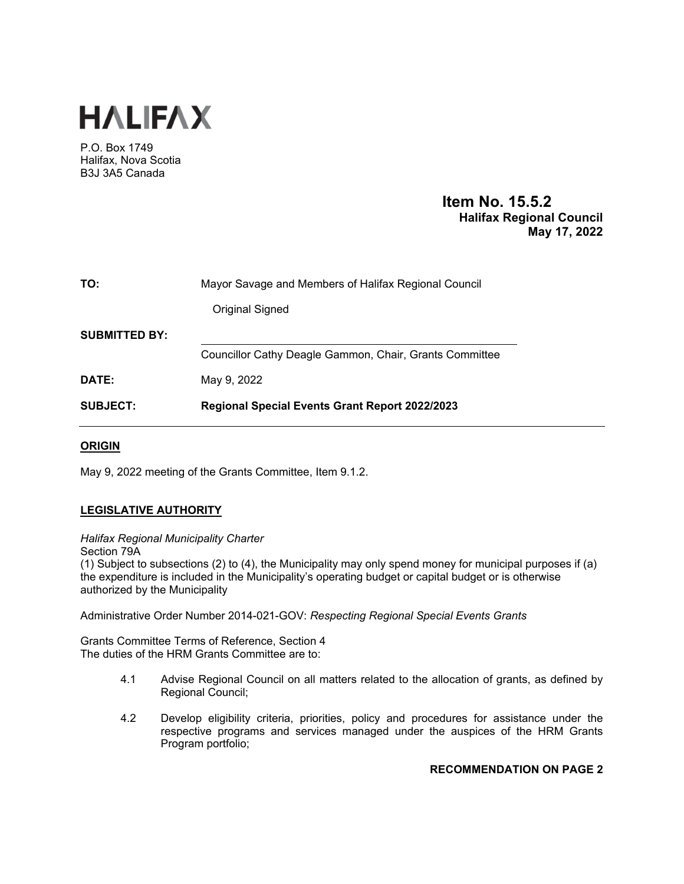

P.O. Box 1749 Halifax, Nova Scotia B3J 3A5 Canada

# **Item No. 15.5.2 Halifax Regional Council May 17, 2022**

| TO:                  | Mayor Savage and Members of Halifax Regional Council    |
|----------------------|---------------------------------------------------------|
|                      | Original Signed                                         |
| <b>SUBMITTED BY:</b> |                                                         |
|                      | Councillor Cathy Deagle Gammon, Chair, Grants Committee |
| DATE:                | May 9, 2022                                             |
| <b>SUBJECT:</b>      | <b>Regional Special Events Grant Report 2022/2023</b>   |

# **ORIGIN**

May 9, 2022 meeting of the Grants Committee, Item 9.1.2.

# **LEGISLATIVE AUTHORITY**

*Halifax Regional Municipality Charter*  Section 79A

(1) Subject to subsections (2) to (4), the Municipality may only spend money for municipal purposes if (a) the expenditure is included in the Municipality's operating budget or capital budget or is otherwise authorized by the Municipality

Administrative Order Number 2014-021-GOV: *Respecting Regional Special Events Grants*

Grants Committee Terms of Reference, Section 4 The duties of the HRM Grants Committee are to:

- 4.1 Advise Regional Council on all matters related to the allocation of grants, as defined by Regional Council;
- 4.2 Develop eligibility criteria, priorities, policy and procedures for assistance under the respective programs and services managed under the auspices of the HRM Grants Program portfolio;

## **RECOMMENDATION ON PAGE 2**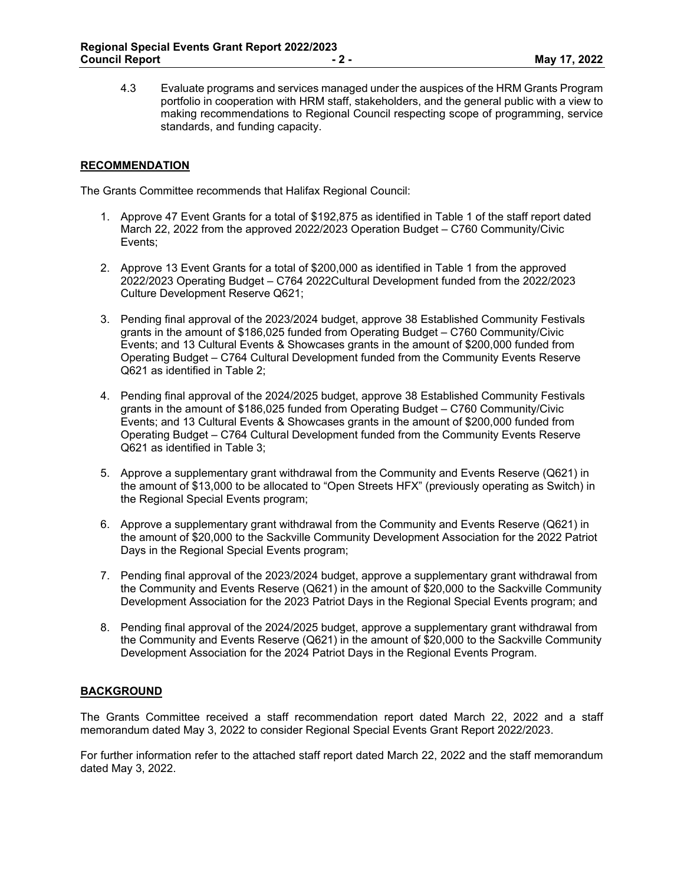4.3 Evaluate programs and services managed under the auspices of the HRM Grants Program portfolio in cooperation with HRM staff, stakeholders, and the general public with a view to making recommendations to Regional Council respecting scope of programming, service standards, and funding capacity.

# **RECOMMENDATION**

The Grants Committee recommends that Halifax Regional Council:

- 1. Approve 47 Event Grants for a total of \$192,875 as identified in Table 1 of the staff report dated March 22, 2022 from the approved 2022/2023 Operation Budget – C760 Community/Civic Events;
- 2. Approve 13 Event Grants for a total of \$200,000 as identified in Table 1 from the approved 2022/2023 Operating Budget – C764 2022Cultural Development funded from the 2022/2023 Culture Development Reserve Q621;
- 3. Pending final approval of the 2023/2024 budget, approve 38 Established Community Festivals grants in the amount of \$186,025 funded from Operating Budget – C760 Community/Civic Events; and 13 Cultural Events & Showcases grants in the amount of \$200,000 funded from Operating Budget – C764 Cultural Development funded from the Community Events Reserve Q621 as identified in Table 2;
- 4. Pending final approval of the 2024/2025 budget, approve 38 Established Community Festivals grants in the amount of \$186,025 funded from Operating Budget – C760 Community/Civic Events; and 13 Cultural Events & Showcases grants in the amount of \$200,000 funded from Operating Budget – C764 Cultural Development funded from the Community Events Reserve Q621 as identified in Table 3;
- 5. Approve a supplementary grant withdrawal from the Community and Events Reserve (Q621) in the amount of \$13,000 to be allocated to "Open Streets HFX" (previously operating as Switch) in the Regional Special Events program;
- 6. Approve a supplementary grant withdrawal from the Community and Events Reserve (Q621) in the amount of \$20,000 to the Sackville Community Development Association for the 2022 Patriot Days in the Regional Special Events program;
- 7. Pending final approval of the 2023/2024 budget, approve a supplementary grant withdrawal from the Community and Events Reserve (Q621) in the amount of \$20,000 to the Sackville Community Development Association for the 2023 Patriot Days in the Regional Special Events program; and
- 8. Pending final approval of the 2024/2025 budget, approve a supplementary grant withdrawal from the Community and Events Reserve (Q621) in the amount of \$20,000 to the Sackville Community Development Association for the 2024 Patriot Days in the Regional Events Program.

## **BACKGROUND**

The Grants Committee received a staff recommendation report dated March 22, 2022 and a staff memorandum dated May 3, 2022 to consider Regional Special Events Grant Report 2022/2023.

For further information refer to the attached staff report dated March 22, 2022 and the staff memorandum dated May 3, 2022.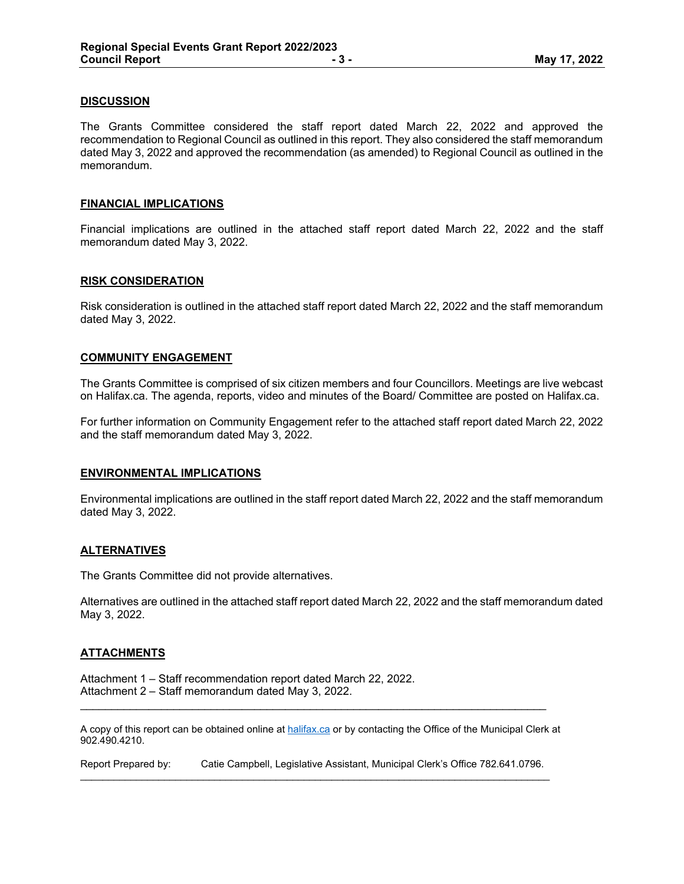## **DISCUSSION**

The Grants Committee considered the staff report dated March 22, 2022 and approved the recommendation to Regional Council as outlined in this report. They also considered the staff memorandum dated May 3, 2022 and approved the recommendation (as amended) to Regional Council as outlined in the memorandum.

#### **FINANCIAL IMPLICATIONS**

Financial implications are outlined in the attached staff report dated March 22, 2022 and the staff memorandum dated May 3, 2022.

#### **RISK CONSIDERATION**

Risk consideration is outlined in the attached staff report dated March 22, 2022 and the staff memorandum dated May 3, 2022.

#### **COMMUNITY ENGAGEMENT**

The Grants Committee is comprised of six citizen members and four Councillors. Meetings are live webcast on Halifax.ca. The agenda, reports, video and minutes of the Board/ Committee are posted on Halifax.ca.

For further information on Community Engagement refer to the attached staff report dated March 22, 2022 and the staff memorandum dated May 3, 2022.

#### **ENVIRONMENTAL IMPLICATIONS**

Environmental implications are outlined in the staff report dated March 22, 2022 and the staff memorandum dated May 3, 2022.

#### **ALTERNATIVES**

The Grants Committee did not provide alternatives.

Alternatives are outlined in the attached staff report dated March 22, 2022 and the staff memorandum dated May 3, 2022.

#### **ATTACHMENTS**

Attachment 1 – Staff recommendation report dated March 22, 2022. Attachment 2 – Staff memorandum dated May 3, 2022.

A copy of this report can be obtained online at halifax.ca or by contacting the Office of the Municipal Clerk at 902.490.4210.

\_\_\_\_\_\_\_\_\_\_\_\_\_\_\_\_\_\_\_\_\_\_\_\_\_\_\_\_\_\_\_\_\_\_\_\_\_\_\_\_\_\_\_\_\_\_\_\_\_\_\_\_\_\_\_\_\_\_\_\_\_\_\_\_\_\_\_\_\_\_\_\_\_\_\_

Report Prepared by: Catie Campbell, Legislative Assistant, Municipal Clerk's Office 782.641.0796.  $\mathcal{L}_\mathcal{L} = \{ \mathcal{L}_\mathcal{L} = \{ \mathcal{L}_\mathcal{L} = \{ \mathcal{L}_\mathcal{L} = \{ \mathcal{L}_\mathcal{L} = \{ \mathcal{L}_\mathcal{L} = \{ \mathcal{L}_\mathcal{L} = \{ \mathcal{L}_\mathcal{L} = \{ \mathcal{L}_\mathcal{L} = \{ \mathcal{L}_\mathcal{L} = \{ \mathcal{L}_\mathcal{L} = \{ \mathcal{L}_\mathcal{L} = \{ \mathcal{L}_\mathcal{L} = \{ \mathcal{L}_\mathcal{L} = \{ \mathcal{L}_\mathcal{$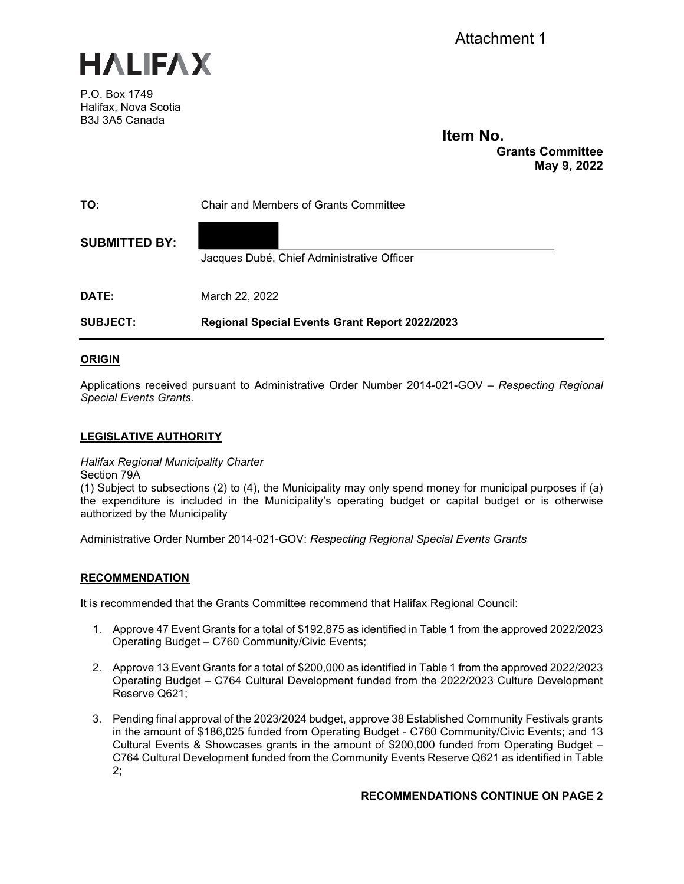



P.O. Box 1749 Halifax, Nova Scotia B3J 3A5 Canada

# **Item No.**

**Grants Committee May 9, 2022** 

| TO:                  | <b>Chair and Members of Grants Committee</b>   |
|----------------------|------------------------------------------------|
| <b>SUBMITTED BY:</b> | Jacques Dubé, Chief Administrative Officer     |
| DATE:                | March 22, 2022                                 |
| <b>SUBJECT:</b>      | Regional Special Events Grant Report 2022/2023 |

# **ORIGIN**

Applications received pursuant to Administrative Order Number 2014-021-GOV – *Respecting Regional Special Events Grants.*

## **LEGISLATIVE AUTHORITY**

*Halifax Regional Municipality Charter*

Section 79A

(1) Subject to subsections (2) to (4), the Municipality may only spend money for municipal purposes if (a) the expenditure is included in the Municipality's operating budget or capital budget or is otherwise authorized by the Municipality

Administrative Order Number 2014-021-GOV: *Respecting Regional Special Events Grants*

## **RECOMMENDATION**

It is recommended that the Grants Committee recommend that Halifax Regional Council:

- 1. Approve 47 Event Grants for a total of \$192,875 as identified in Table 1 from the approved 2022/2023 Operating Budget – C760 Community/Civic Events;
- 2. Approve 13 Event Grants for a total of \$200,000 as identified in Table 1 from the approved 2022/2023 Operating Budget – C764 Cultural Development funded from the 2022/2023 Culture Development Reserve Q621;
- 3. Pending final approval of the 2023/2024 budget, approve 38 Established Community Festivals grants in the amount of \$186,025 funded from Operating Budget - C760 Community/Civic Events; and 13 Cultural Events & Showcases grants in the amount of \$200,000 funded from Operating Budget – C764 Cultural Development funded from the Community Events Reserve Q621 as identified in Table 2;

## **RECOMMENDATIONS CONTINUE ON PAGE 2**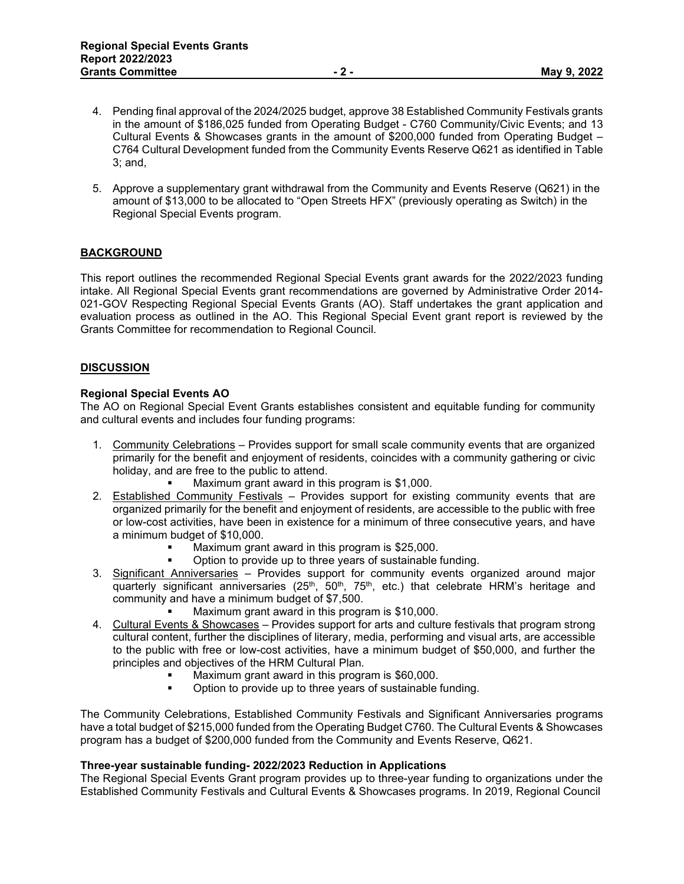- 4. Pending final approval of the 2024/2025 budget, approve 38 Established Community Festivals grants in the amount of \$186,025 funded from Operating Budget - C760 Community/Civic Events; and 13 Cultural Events & Showcases grants in the amount of \$200,000 funded from Operating Budget – C764 Cultural Development funded from the Community Events Reserve Q621 as identified in Table 3; and,
- 5. Approve a supplementary grant withdrawal from the Community and Events Reserve (Q621) in the amount of \$13,000 to be allocated to "Open Streets HFX" (previously operating as Switch) in the Regional Special Events program.

# **BACKGROUND**

This report outlines the recommended Regional Special Events grant awards for the 2022/2023 funding intake. All Regional Special Events grant recommendations are governed by Administrative Order 2014- 021-GOV Respecting Regional Special Events Grants (AO). Staff undertakes the grant application and evaluation process as outlined in the AO. This Regional Special Event grant report is reviewed by the Grants Committee for recommendation to Regional Council.

## **DISCUSSION**

# **Regional Special Events AO**

The AO on Regional Special Event Grants establishes consistent and equitable funding for community and cultural events and includes four funding programs:

- 1. Community Celebrations Provides support for small scale community events that are organized primarily for the benefit and enjoyment of residents, coincides with a community gathering or civic holiday, and are free to the public to attend.
	- Maximum grant award in this program is \$1,000.
- 2. Established Community Festivals Provides support for existing community events that are organized primarily for the benefit and enjoyment of residents, are accessible to the public with free or low-cost activities, have been in existence for a minimum of three consecutive years, and have a minimum budget of \$10,000.
	- Maximum grant award in this program is \$25,000.
	- Option to provide up to three years of sustainable funding.
- 3. Significant Anniversaries Provides support for community events organized around major quarterly significant anniversaries ( $25<sup>th</sup>$ ,  $50<sup>th</sup>$ ,  $75<sup>th</sup>$ , etc.) that celebrate HRM's heritage and community and have a minimum budget of \$7,500.
	- Maximum grant award in this program is \$10,000.
- 4. Cultural Events & Showcases Provides support for arts and culture festivals that program strong cultural content, further the disciplines of literary, media, performing and visual arts, are accessible to the public with free or low-cost activities, have a minimum budget of \$50,000, and further the principles and objectives of the HRM Cultural Plan.
	- Maximum grant award in this program is \$60,000.<br>Distantion to provide up to three years of sustainable to provide up to three years of sustainable
	- Option to provide up to three years of sustainable funding.

The Community Celebrations, Established Community Festivals and Significant Anniversaries programs have a total budget of \$215,000 funded from the Operating Budget C760. The Cultural Events & Showcases program has a budget of \$200,000 funded from the Community and Events Reserve, Q621.

## **Three-year sustainable funding- 2022/2023 Reduction in Applications**

The Regional Special Events Grant program provides up to three-year funding to organizations under the Established Community Festivals and Cultural Events & Showcases programs. In 2019, Regional Council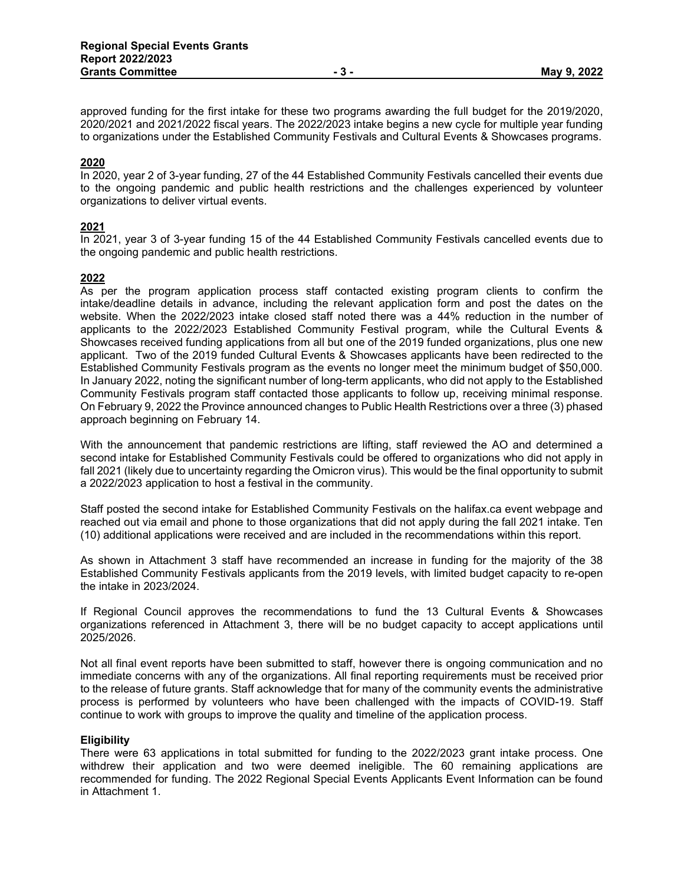approved funding for the first intake for these two programs awarding the full budget for the 2019/2020, 2020/2021 and 2021/2022 fiscal years. The 2022/2023 intake begins a new cycle for multiple year funding to organizations under the Established Community Festivals and Cultural Events & Showcases programs.

## **2020**

In 2020, year 2 of 3-year funding, 27 of the 44 Established Community Festivals cancelled their events due to the ongoing pandemic and public health restrictions and the challenges experienced by volunteer organizations to deliver virtual events.

## **2021**

In 2021, year 3 of 3-year funding 15 of the 44 Established Community Festivals cancelled events due to the ongoing pandemic and public health restrictions.

## **2022**

As per the program application process staff contacted existing program clients to confirm the intake/deadline details in advance, including the relevant application form and post the dates on the website. When the 2022/2023 intake closed staff noted there was a 44% reduction in the number of applicants to the 2022/2023 Established Community Festival program, while the Cultural Events & Showcases received funding applications from all but one of the 2019 funded organizations, plus one new applicant. Two of the 2019 funded Cultural Events & Showcases applicants have been redirected to the Established Community Festivals program as the events no longer meet the minimum budget of \$50,000. In January 2022, noting the significant number of long-term applicants, who did not apply to the Established Community Festivals program staff contacted those applicants to follow up, receiving minimal response. On February 9, 2022 the Province announced changes to Public Health Restrictions over a three (3) phased approach beginning on February 14.

With the announcement that pandemic restrictions are lifting, staff reviewed the AO and determined a second intake for Established Community Festivals could be offered to organizations who did not apply in fall 2021 (likely due to uncertainty regarding the Omicron virus). This would be the final opportunity to submit a 2022/2023 application to host a festival in the community.

Staff posted the second intake for Established Community Festivals on the halifax.ca event webpage and reached out via email and phone to those organizations that did not apply during the fall 2021 intake. Ten (10) additional applications were received and are included in the recommendations within this report.

As shown in Attachment 3 staff have recommended an increase in funding for the majority of the 38 Established Community Festivals applicants from the 2019 levels, with limited budget capacity to re-open the intake in 2023/2024.

If Regional Council approves the recommendations to fund the 13 Cultural Events & Showcases organizations referenced in Attachment 3, there will be no budget capacity to accept applications until 2025/2026.

Not all final event reports have been submitted to staff, however there is ongoing communication and no immediate concerns with any of the organizations. All final reporting requirements must be received prior to the release of future grants. Staff acknowledge that for many of the community events the administrative process is performed by volunteers who have been challenged with the impacts of COVID-19. Staff continue to work with groups to improve the quality and timeline of the application process.

#### **Eligibility**

There were 63 applications in total submitted for funding to the 2022/2023 grant intake process. One withdrew their application and two were deemed ineligible. The 60 remaining applications are recommended for funding. The 2022 Regional Special Events Applicants Event Information can be found in Attachment 1.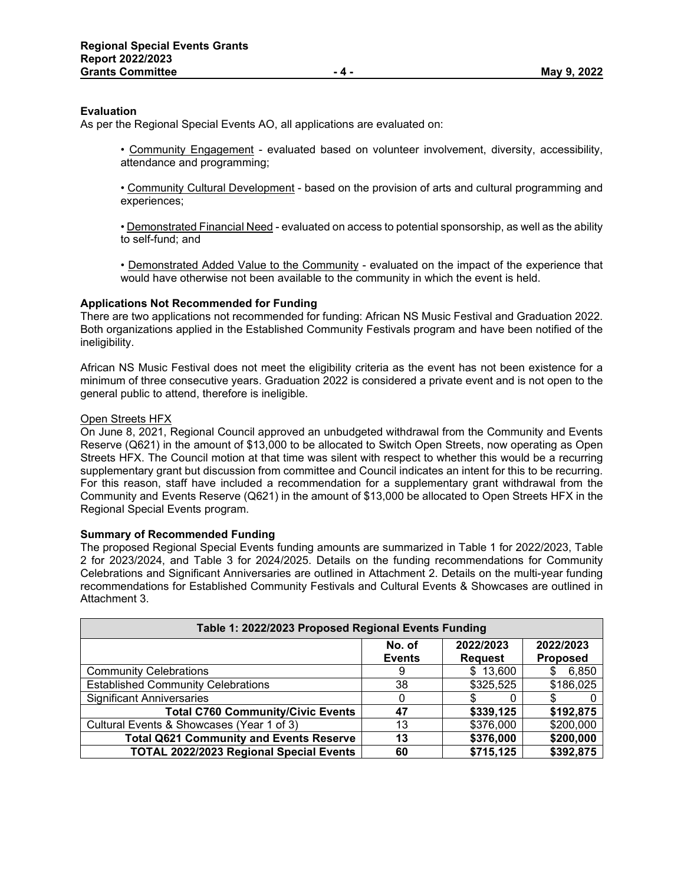## **Evaluation**

As per the Regional Special Events AO, all applications are evaluated on:

• Community Engagement - evaluated based on volunteer involvement, diversity, accessibility, attendance and programming;

• Community Cultural Development - based on the provision of arts and cultural programming and experiences;

• Demonstrated Financial Need - evaluated on access to potential sponsorship, as well as the ability to self-fund; and

• Demonstrated Added Value to the Community - evaluated on the impact of the experience that would have otherwise not been available to the community in which the event is held.

## **Applications Not Recommended for Funding**

There are two applications not recommended for funding: African NS Music Festival and Graduation 2022. Both organizations applied in the Established Community Festivals program and have been notified of the ineligibility.

African NS Music Festival does not meet the eligibility criteria as the event has not been existence for a minimum of three consecutive years. Graduation 2022 is considered a private event and is not open to the general public to attend, therefore is ineligible.

## Open Streets HFX

On June 8, 2021, Regional Council approved an unbudgeted withdrawal from the Community and Events Reserve (Q621) in the amount of \$13,000 to be allocated to Switch Open Streets, now operating as Open Streets HFX. The Council motion at that time was silent with respect to whether this would be a recurring supplementary grant but discussion from committee and Council indicates an intent for this to be recurring. For this reason, staff have included a recommendation for a supplementary grant withdrawal from the Community and Events Reserve (Q621) in the amount of \$13,000 be allocated to Open Streets HFX in the Regional Special Events program.

# **Summary of Recommended Funding**

The proposed Regional Special Events funding amounts are summarized in Table 1 for 2022/2023, Table 2 for 2023/2024, and Table 3 for 2024/2025. Details on the funding recommendations for Community Celebrations and Significant Anniversaries are outlined in Attachment 2. Details on the multi-year funding recommendations for Established Community Festivals and Cultural Events & Showcases are outlined in Attachment 3.

| Table 1: 2022/2023 Proposed Regional Events Funding                                    |          |           |           |  |
|----------------------------------------------------------------------------------------|----------|-----------|-----------|--|
| 2022/2023<br>2022/2023<br>No. of<br><b>Proposed</b><br><b>Events</b><br><b>Request</b> |          |           |           |  |
| <b>Community Celebrations</b>                                                          | 9        | \$13,600  | 6,850     |  |
| <b>Established Community Celebrations</b>                                              | 38       | \$325,525 | \$186,025 |  |
| <b>Significant Anniversaries</b>                                                       | $\Omega$ |           |           |  |
| <b>Total C760 Community/Civic Events</b>                                               | 47       | \$339,125 | \$192,875 |  |
| Cultural Events & Showcases (Year 1 of 3)                                              | 13       | \$376,000 | \$200,000 |  |
| <b>Total Q621 Community and Events Reserve</b>                                         | 13       | \$376,000 | \$200,000 |  |
| <b>TOTAL 2022/2023 Regional Special Events</b>                                         | 60       | \$715,125 | \$392,875 |  |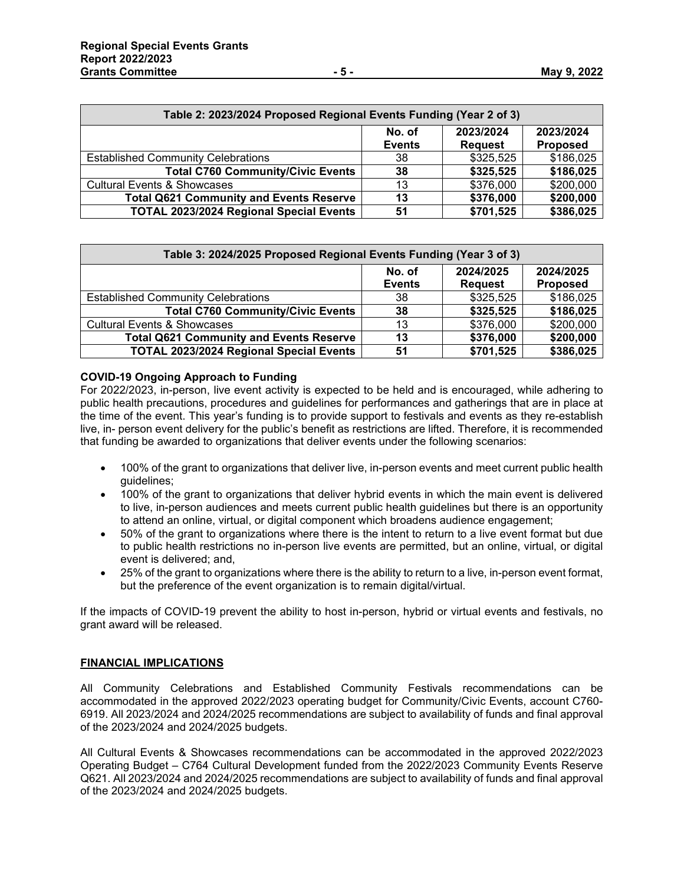| Table 2: 2023/2024 Proposed Regional Events Funding (Year 2 of 3) |                         |                             |                              |
|-------------------------------------------------------------------|-------------------------|-----------------------------|------------------------------|
|                                                                   | No. of<br><b>Events</b> | 2023/2024<br><b>Request</b> | 2023/2024<br><b>Proposed</b> |
| <b>Established Community Celebrations</b>                         | 38                      | \$325,525                   | \$186,025                    |
| <b>Total C760 Community/Civic Events</b>                          | 38                      | \$325,525                   | \$186,025                    |
| <b>Cultural Events &amp; Showcases</b>                            | 13                      | \$376,000                   | \$200,000                    |
| <b>Total Q621 Community and Events Reserve</b>                    | 13                      | \$376,000                   | \$200,000                    |
| <b>TOTAL 2023/2024 Regional Special Events</b>                    | 51                      | \$701,525                   | \$386,025                    |

| Table 3: 2024/2025 Proposed Regional Events Funding (Year 3 of 3) |                         |                             |                              |
|-------------------------------------------------------------------|-------------------------|-----------------------------|------------------------------|
|                                                                   | No. of<br><b>Events</b> | 2024/2025<br><b>Request</b> | 2024/2025<br><b>Proposed</b> |
| <b>Established Community Celebrations</b>                         | 38                      | \$325,525                   | \$186,025                    |
| <b>Total C760 Community/Civic Events</b>                          | 38                      | \$325,525                   | \$186,025                    |
| <b>Cultural Events &amp; Showcases</b>                            | 13                      | \$376,000                   | \$200,000                    |
| <b>Total Q621 Community and Events Reserve</b>                    | 13                      | \$376,000                   | \$200,000                    |
| <b>TOTAL 2023/2024 Regional Special Events</b>                    | 51                      | \$701,525                   | \$386,025                    |

# **COVID-19 Ongoing Approach to Funding**

For 2022/2023, in-person, live event activity is expected to be held and is encouraged, while adhering to public health precautions, procedures and guidelines for performances and gatherings that are in place at the time of the event. This year's funding is to provide support to festivals and events as they re-establish live, in- person event delivery for the public's benefit as restrictions are lifted. Therefore, it is recommended that funding be awarded to organizations that deliver events under the following scenarios:

- 100% of the grant to organizations that deliver live, in-person events and meet current public health guidelines;
- 100% of the grant to organizations that deliver hybrid events in which the main event is delivered to live, in-person audiences and meets current public health guidelines but there is an opportunity to attend an online, virtual, or digital component which broadens audience engagement;
- 50% of the grant to organizations where there is the intent to return to a live event format but due to public health restrictions no in-person live events are permitted, but an online, virtual, or digital event is delivered; and,
- 25% of the grant to organizations where there is the ability to return to a live, in-person event format, but the preference of the event organization is to remain digital/virtual.

If the impacts of COVID-19 prevent the ability to host in-person, hybrid or virtual events and festivals, no grant award will be released.

# **FINANCIAL IMPLICATIONS**

All Community Celebrations and Established Community Festivals recommendations can be accommodated in the approved 2022/2023 operating budget for Community/Civic Events, account C760- 6919. All 2023/2024 and 2024/2025 recommendations are subject to availability of funds and final approval of the 2023/2024 and 2024/2025 budgets.

All Cultural Events & Showcases recommendations can be accommodated in the approved 2022/2023 Operating Budget – C764 Cultural Development funded from the 2022/2023 Community Events Reserve Q621. All 2023/2024 and 2024/2025 recommendations are subject to availability of funds and final approval of the 2023/2024 and 2024/2025 budgets.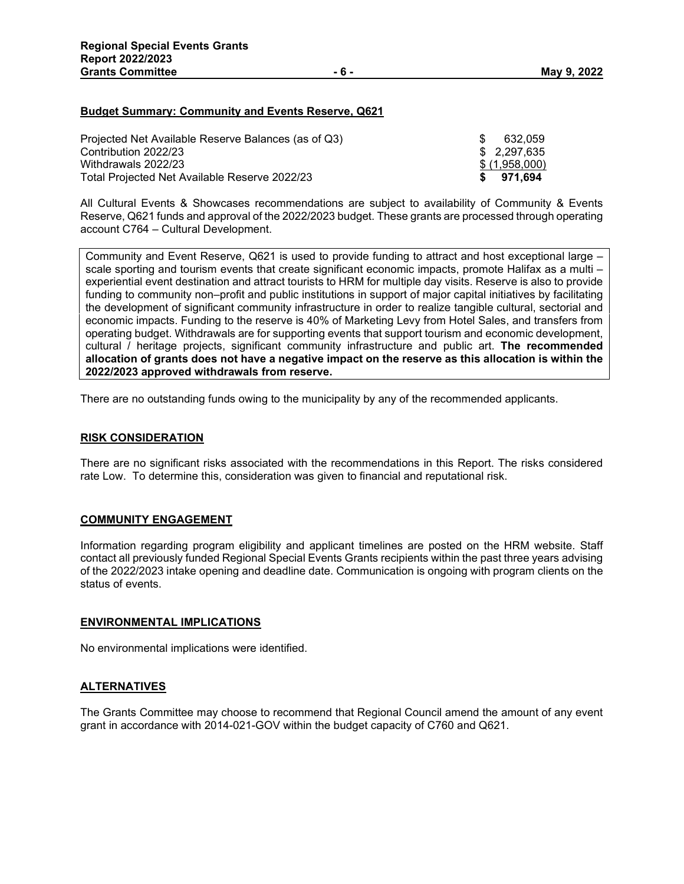## **Budget Summary: Community and Events Reserve, Q621**

| Projected Net Available Reserve Balances (as of Q3) | SS. | 632.059       |
|-----------------------------------------------------|-----|---------------|
| Contribution 2022/23                                |     | \$ 2.297.635  |
| Withdrawals 2022/23                                 |     | \$(1,958,000) |
| Total Projected Net Available Reserve 2022/23       |     | \$971.694     |

All Cultural Events & Showcases recommendations are subject to availability of Community & Events Reserve, Q621 funds and approval of the 2022/2023 budget. These grants are processed through operating account C764 – Cultural Development.

Community and Event Reserve, Q621 is used to provide funding to attract and host exceptional large – scale sporting and tourism events that create significant economic impacts, promote Halifax as a multi – experiential event destination and attract tourists to HRM for multiple day visits. Reserve is also to provide funding to community non–profit and public institutions in support of major capital initiatives by facilitating the development of significant community infrastructure in order to realize tangible cultural, sectorial and economic impacts. Funding to the reserve is 40% of Marketing Levy from Hotel Sales, and transfers from operating budget. Withdrawals are for supporting events that support tourism and economic development, cultural / heritage projects, significant community infrastructure and public art. **The recommended allocation of grants does not have a negative impact on the reserve as this allocation is within the 2022/2023 approved withdrawals from reserve.**

There are no outstanding funds owing to the municipality by any of the recommended applicants.

#### **RISK CONSIDERATION**

There are no significant risks associated with the recommendations in this Report. The risks considered rate Low. To determine this, consideration was given to financial and reputational risk.

## **COMMUNITY ENGAGEMENT**

Information regarding program eligibility and applicant timelines are posted on the HRM website. Staff contact all previously funded Regional Special Events Grants recipients within the past three years advising of the 2022/2023 intake opening and deadline date. Communication is ongoing with program clients on the status of events.

#### **ENVIRONMENTAL IMPLICATIONS**

No environmental implications were identified.

## **ALTERNATIVES**

The Grants Committee may choose to recommend that Regional Council amend the amount of any event grant in accordance with 2014-021-GOV within the budget capacity of C760 and Q621.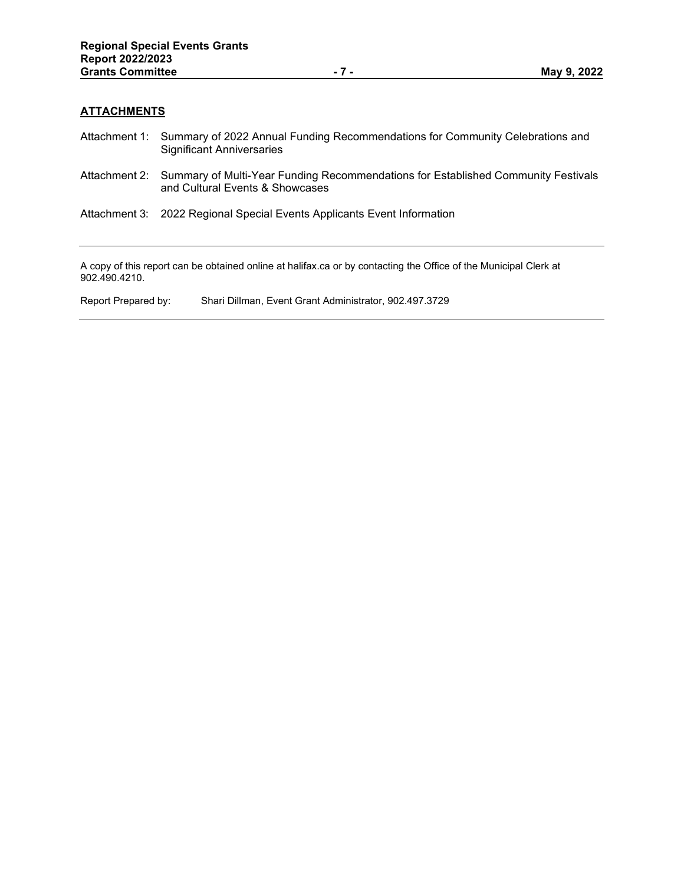# **ATTACHMENTS**

- Attachment 1: Summary of 2022 Annual Funding Recommendations for Community Celebrations and Significant Anniversaries
- Attachment 2: Summary of Multi-Year Funding Recommendations for Established Community Festivals and Cultural Events & Showcases
- Attachment 3: 2022 Regional Special Events Applicants Event Information

A copy of this report can be obtained online at halifax.ca or by contacting the Office of the Municipal Clerk at 902.490.4210.

Report Prepared by: Shari Dillman, Event Grant Administrator, 902.497.3729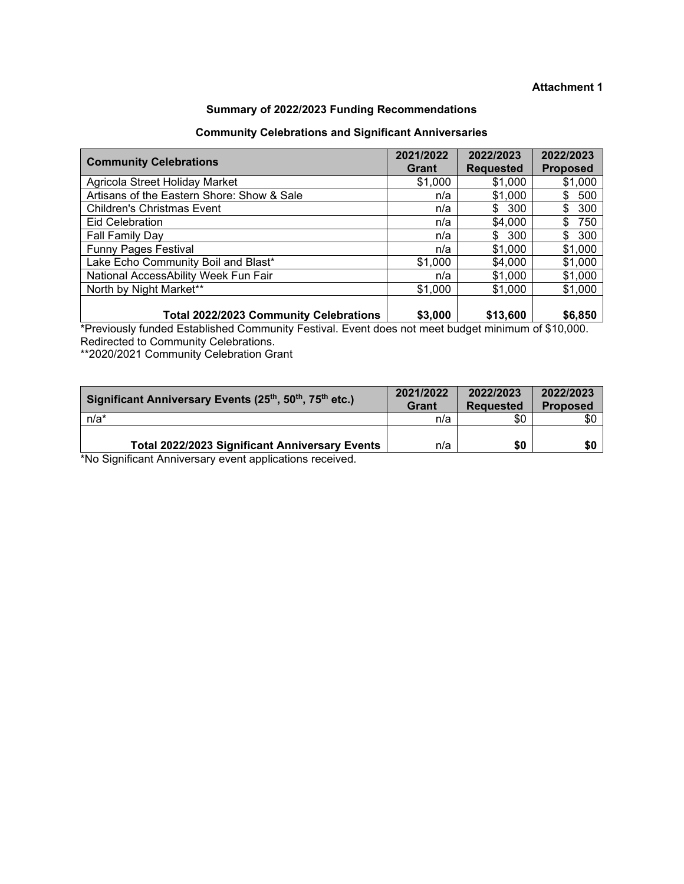# **Attachment 1**

# **Summary of 2022/2023 Funding Recommendations**

# **Community Celebrations and Significant Anniversaries**

| <b>Community Celebrations</b>              | 2021/2022<br>Grant | 2022/2023<br><b>Requested</b> | 2022/2023<br><b>Proposed</b> |
|--------------------------------------------|--------------------|-------------------------------|------------------------------|
| Agricola Street Holiday Market             | \$1,000            | \$1,000                       | \$1,000                      |
| Artisans of the Eastern Shore: Show & Sale | n/a                | \$1,000                       | \$<br>500                    |
| <b>Children's Christmas Event</b>          | n/a                | 300<br>\$                     | 300<br>\$                    |
| <b>Eid Celebration</b>                     | n/a                | \$4,000                       | 750<br>\$.                   |
| Fall Family Day                            | n/a                | \$<br>300                     | \$<br>300                    |
| <b>Funny Pages Festival</b>                | n/a                | \$1,000                       | \$1,000                      |
| Lake Echo Community Boil and Blast*        | \$1,000            | \$4,000                       | \$1,000                      |
| National AccessAbility Week Fun Fair       | n/a                | \$1,000                       | \$1,000                      |
| North by Night Market**                    | \$1,000            | \$1,000                       | \$1,000                      |
| Total 2022/2023 Community Celebrations     | \$3,000            | \$13,600                      | \$6,850                      |

\*Previously funded Established Community Festival. Event does not meet budget minimum of \$10,000. Redirected to Community Celebrations.

\*\*2020/2021 Community Celebration Grant

| Significant Anniversary Events (25 <sup>th</sup> , 50 <sup>th</sup> , 75 <sup>th</sup> etc.) | 2021/2022<br>Grant | 2022/2023<br><b>Requested</b> | 2022/2023<br><b>Proposed</b> |
|----------------------------------------------------------------------------------------------|--------------------|-------------------------------|------------------------------|
| $n/a^*$                                                                                      | n/a                | \$0                           | \$0                          |
| <b>Total 2022/2023 Significant Anniversary Events</b>                                        | n/a                | \$0                           | \$0                          |

\*No Significant Anniversary event applications received.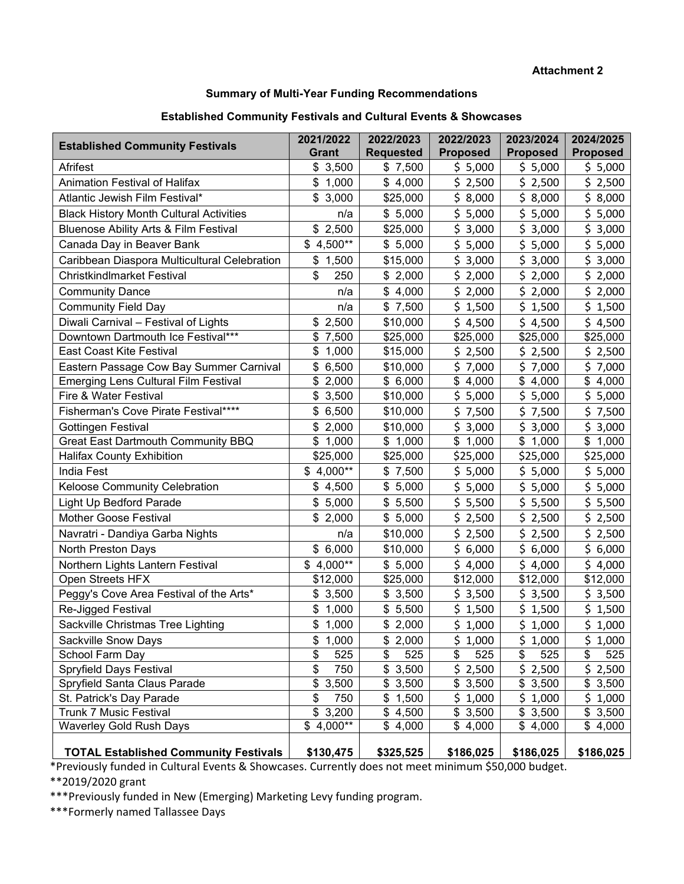**Attachment 2**

# **Summary of Multi-Year Funding Recommendations**

# **Established Community Festivals and Cultural Events & Showcases**

| <b>Established Community Festivals</b>                                     | 2021/2022<br>Grant   | 2022/2023<br><b>Requested</b> | 2022/2023<br><b>Proposed</b> | 2023/2024<br><b>Proposed</b> | 2024/2025<br><b>Proposed</b> |
|----------------------------------------------------------------------------|----------------------|-------------------------------|------------------------------|------------------------------|------------------------------|
| Afrifest                                                                   | \$3,500              | \$7,500                       | \$5,000                      | \$5,000                      | \$5,000                      |
| Animation Festival of Halifax                                              | \$1,000              | \$4,000                       | \$2,500                      | \$2,500                      | \$2,500                      |
| Atlantic Jewish Film Festival*                                             | \$3,000              | \$25,000                      | \$8,000                      | \$8,000                      | \$8,000                      |
| <b>Black History Month Cultural Activities</b>                             | n/a                  | \$5,000                       | \$5,000                      | \$5,000                      | \$5,000                      |
| <b>Bluenose Ability Arts &amp; Film Festival</b>                           | \$2,500              | \$25,000                      | \$3,000                      | \$3,000                      | \$3,000                      |
| Canada Day in Beaver Bank                                                  | $$4,500**$           | \$5,000                       | \$5,000                      | \$5,000                      | \$5,000                      |
| Caribbean Diaspora Multicultural Celebration                               | \$1,500              | \$15,000                      | \$3,000                      | \$3,000                      | \$3,000                      |
| <b>Christkindlmarket Festival</b>                                          | \$<br>250            | \$2,000                       | \$2,000                      | \$2,000                      | \$2,000                      |
|                                                                            | n/a                  | \$4,000                       | \$2,000                      | \$2,000                      | \$2,000                      |
| <b>Community Dance</b>                                                     |                      |                               |                              | \$1,500                      |                              |
| <b>Community Field Day</b>                                                 | n/a                  | \$7,500                       | \$1,500                      |                              | \$1,500                      |
| Diwali Carnival - Festival of Lights<br>Downtown Dartmouth Ice Festival*** | 2,500<br>\$<br>\$    | \$10,000                      | \$4,500                      | \$4,500<br>\$25,000          | \$4,500                      |
| <b>East Coast Kite Festival</b>                                            | 7,500<br>\$<br>1,000 | \$25,000                      | \$25,000                     | \$2,500                      | \$25,000                     |
| Eastern Passage Cow Bay Summer Carnival                                    |                      | \$15,000                      | \$2,500                      |                              | \$2,500                      |
| <b>Emerging Lens Cultural Film Festival</b>                                | \$6,500<br>\$2,000   | \$10,000<br>\$6,000           | \$7,000<br>\$4,000           | \$7,000<br>\$4,000           | \$7,000<br>\$4,000           |
| Fire & Water Festival                                                      | \$<br>3,500          | \$10,000                      | \$5,000                      | \$5,000                      | \$5,000                      |
| Fisherman's Cove Pirate Festival****                                       | \$<br>6,500          | \$10,000                      | \$7,500                      | \$7,500                      | \$7,500                      |
| Gottingen Festival                                                         | \$<br>2,000          | \$10,000                      | \$3,000                      | \$3,000                      | \$3,000                      |
| <b>Great East Dartmouth Community BBQ</b>                                  | \$<br>1,000          | \$1,000                       | \$1,000                      | \$1,000                      | \$1,000                      |
| <b>Halifax County Exhibition</b>                                           | \$25,000             | \$25,000                      | \$25,000                     | \$25,000                     | \$25,000                     |
| <b>India Fest</b>                                                          | 4,000**<br>\$        | \$7,500                       | \$5,000                      | \$5,000                      | \$5,000                      |
| Keloose Community Celebration                                              | \$4,500              | \$5,000                       | \$5,000                      | \$5,000                      | \$5,000                      |
| Light Up Bedford Parade                                                    | \$5,000              | \$5,500                       | \$5,500                      | \$5,500                      | \$5,500                      |
| <b>Mother Goose Festival</b>                                               | \$2,000              | \$5,000                       | \$2,500                      | \$2,500                      | \$2,500                      |
| Navratri - Dandiya Garba Nights                                            | n/a                  | \$10,000                      | \$2,500                      | \$2,500                      | \$2,500                      |
| North Preston Days                                                         | \$6,000              | \$10,000                      | \$6,000                      | \$6,000                      | \$6,000                      |
| Northern Lights Lantern Festival                                           | $$4,000**$           | \$5,000                       | \$4,000                      | \$4,000                      | \$4,000                      |
| Open Streets HFX                                                           | \$12,000             | \$25,000                      | \$12,000                     | \$12,000                     | \$12,000                     |
| Peggy's Cove Area Festival of the Arts*                                    | \$3,500              | \$3,500                       | \$3,500                      | \$3,500                      | \$3,500                      |
| Re-Jigged Festival                                                         | \$<br>1,000          | \$5,500                       | \$1,500                      | \$1,500                      | \$1,500                      |
| Sackville Christmas Tree Lighting                                          | \$1,000              | \$2,000                       | $\overline{5}$ 1,000         | $\overline{5}$ 1,000         | $\frac{1}{5}$ 1,000          |
| Sackville Snow Days                                                        | 1,000<br>\$          | \$2,000                       | \$1,000                      | \$1,000                      | \$1,000                      |
| School Farm Day                                                            | \$<br>525            | \$<br>525                     | 525<br>\$                    | 525<br>\$                    | 525<br>\$                    |
| Spryfield Days Festival                                                    | \$<br>750            | \$3,500                       | \$2,500                      | \$2,500                      | \$2,500                      |
| Spryfield Santa Claus Parade                                               | \$3,500              | \$3,500                       | \$3,500                      | \$3,500                      | \$3,500                      |
| St. Patrick's Day Parade                                                   | \$<br>750            | \$1,500                       | \$1,000                      | \$1,000                      | \$1,000                      |
| <b>Trunk 7 Music Festival</b>                                              | \$3,200              | \$4,500                       | \$3,500                      | \$3,500                      | \$3,500                      |
| <b>Waverley Gold Rush Days</b>                                             | $$4,000**$           | \$4,000                       | \$4,000                      | \$4,000                      | \$4,000                      |
| <b>TOTAL Established Community Festivals</b>                               | \$130,475            | \$325,525                     | \$186,025                    | \$186,025                    | \$186,025                    |

\*Previously funded in Cultural Events & Showcases. Currently does not meet minimum \$50,000 budget.

\*\*2019/2020 grant

\*\*\*Previously funded in New (Emerging) Marketing Levy funding program.

\*\*\*Formerly named Tallassee Days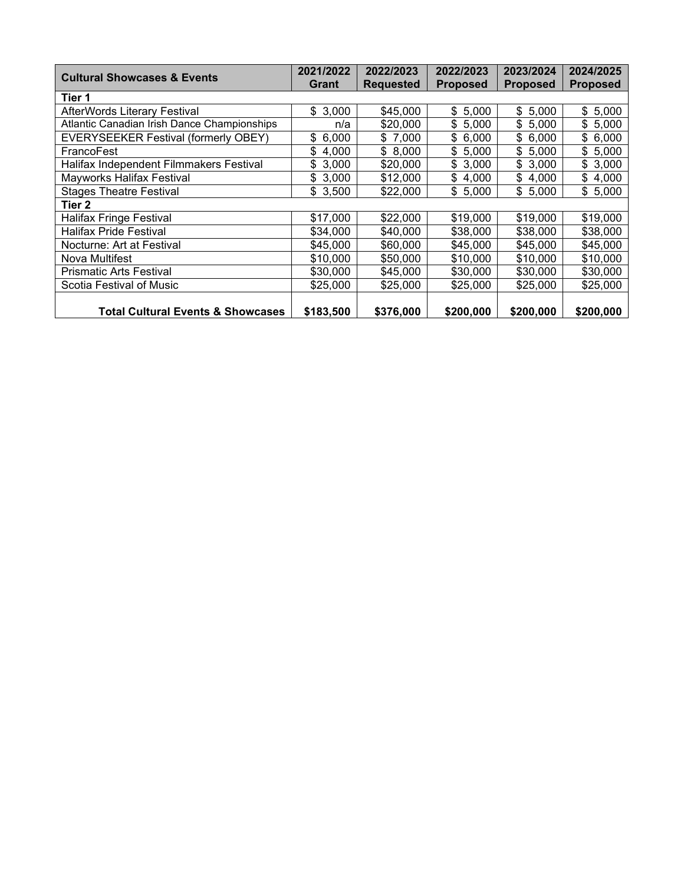| <b>Cultural Showcases &amp; Events</b>       | 2021/2022   | 2022/2023        | 2022/2023       | 2023/2024       | 2024/2025       |
|----------------------------------------------|-------------|------------------|-----------------|-----------------|-----------------|
|                                              | Grant       | <b>Requested</b> | <b>Proposed</b> | <b>Proposed</b> | <b>Proposed</b> |
| Tier 1                                       |             |                  |                 |                 |                 |
| <b>AfterWords Literary Festival</b>          | \$3,000     | \$45,000         | \$5,000         | \$5,000         | \$5,000         |
| Atlantic Canadian Irish Dance Championships  | n/a         | \$20,000         | \$5,000         | \$5,000         | \$5,000         |
| <b>EVERYSEEKER Festival (formerly OBEY)</b>  | \$6,000     | \$7,000          | \$6,000         | \$6,000         | \$6,000         |
| FrancoFest                                   | \$<br>4,000 | \$8,000          | \$5,000         | \$5,000         | \$5,000         |
| Halifax Independent Filmmakers Festival      | \$3,000     | \$20,000         | \$3,000         | \$3,000         | \$3,000         |
| Mayworks Halifax Festival                    | \$3,000     | \$12,000         | \$4,000         | \$4,000         | \$4,000         |
| <b>Stages Theatre Festival</b>               | \$3,500     | \$22,000         | \$5,000         | \$5,000         | \$5,000         |
| Tier 2                                       |             |                  |                 |                 |                 |
| <b>Halifax Fringe Festival</b>               | \$17,000    | \$22,000         | \$19,000        | \$19,000        | \$19,000        |
| <b>Halifax Pride Festival</b>                | \$34,000    | \$40,000         | \$38,000        | \$38,000        | \$38,000        |
| Nocturne: Art at Festival                    | \$45,000    | \$60,000         | \$45,000        | \$45,000        | \$45,000        |
| Nova Multifest                               | \$10,000    | \$50,000         | \$10,000        | \$10,000        | \$10,000        |
| <b>Prismatic Arts Festival</b>               | \$30,000    | \$45,000         | \$30,000        | \$30,000        | \$30,000        |
| Scotia Festival of Music                     | \$25,000    | \$25,000         | \$25,000        | \$25,000        | \$25,000        |
|                                              |             |                  |                 |                 |                 |
| <b>Total Cultural Events &amp; Showcases</b> | \$183,500   | \$376,000        | \$200,000       | \$200,000       | \$200,000       |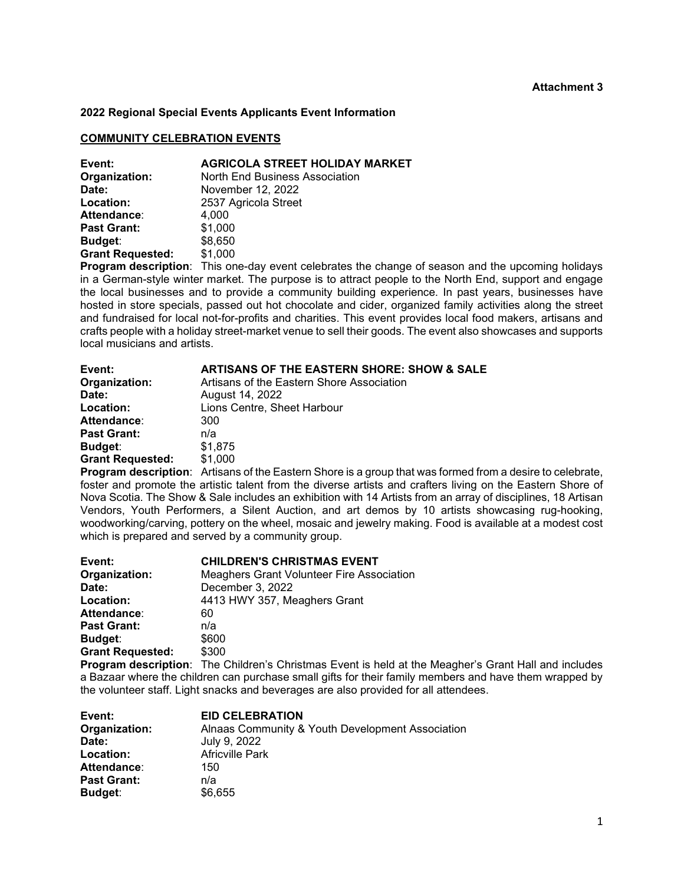#### **2022 Regional Special Events Applicants Event Information**

#### **COMMUNITY CELEBRATION EVENTS**

| Event:                  | <b>AGRICOLA STREET HOLIDAY MARKET</b> |
|-------------------------|---------------------------------------|
| Organization:           | North End Business Association        |
| Date:                   | November 12, 2022                     |
| Location:               | 2537 Agricola Street                  |
| Attendance:             | 4.000                                 |
| <b>Past Grant:</b>      | \$1,000                               |
| Budget:                 | \$8,650                               |
| <b>Grant Requested:</b> | \$1,000                               |
|                         | .                                     |

**Program description**: This one-day event celebrates the change of season and the upcoming holidays in a German-style winter market. The purpose is to attract people to the North End, support and engage the local businesses and to provide a community building experience. In past years, businesses have hosted in store specials, passed out hot chocolate and cider, organized family activities along the street and fundraised for local not-for-profits and charities. This event provides local food makers, artisans and crafts people with a holiday street-market venue to sell their goods. The event also showcases and supports local musicians and artists.

| Event:                  | <b>ARTISANS OF THE EASTERN SHORE: SHOW &amp; SALE</b> |
|-------------------------|-------------------------------------------------------|
| Organization:           | Artisans of the Eastern Shore Association             |
| Date:                   | August 14, 2022                                       |
| Location:               | Lions Centre, Sheet Harbour                           |
| Attendance:             | 300                                                   |
| <b>Past Grant:</b>      | n/a                                                   |
| <b>Budget:</b>          | \$1,875                                               |
| <b>Grant Requested:</b> | \$1,000                                               |

**Program description**: Artisans of the Eastern Shore is a group that was formed from a desire to celebrate, foster and promote the artistic talent from the diverse artists and crafters living on the Eastern Shore of Nova Scotia. The Show & Sale includes an exhibition with 14 Artists from an array of disciplines, 18 Artisan Vendors, Youth Performers, a Silent Auction, and art demos by 10 artists showcasing rug-hooking, woodworking/carving, pottery on the wheel, mosaic and jewelry making. Food is available at a modest cost which is prepared and served by a community group.

| Event:                  | <b>CHILDREN'S CHRISTMAS EVENT</b>                |
|-------------------------|--------------------------------------------------|
| Organization:           | <b>Meaghers Grant Volunteer Fire Association</b> |
| Date:                   | December 3, 2022                                 |
| Location:               | 4413 HWY 357, Meaghers Grant                     |
| <b>Attendance:</b>      | 60                                               |
| <b>Past Grant:</b>      | n/a                                              |
| Budget:                 | \$600                                            |
| <b>Grant Requested:</b> | \$300                                            |
|                         |                                                  |

**Program description**: The Children's Christmas Event is held at the Meagher's Grant Hall and includes a Bazaar where the children can purchase small gifts for their family members and have them wrapped by the volunteer staff. Light snacks and beverages are also provided for all attendees.

| Event:             | <b>EID CELEBRATION</b>                           |
|--------------------|--------------------------------------------------|
| Organization:      | Alnaas Community & Youth Development Association |
| Date:              | July 9, 2022                                     |
| Location:          | <b>Africville Park</b>                           |
| Attendance:        | 150                                              |
| <b>Past Grant:</b> | n/a                                              |
| <b>Budget:</b>     | \$6,655                                          |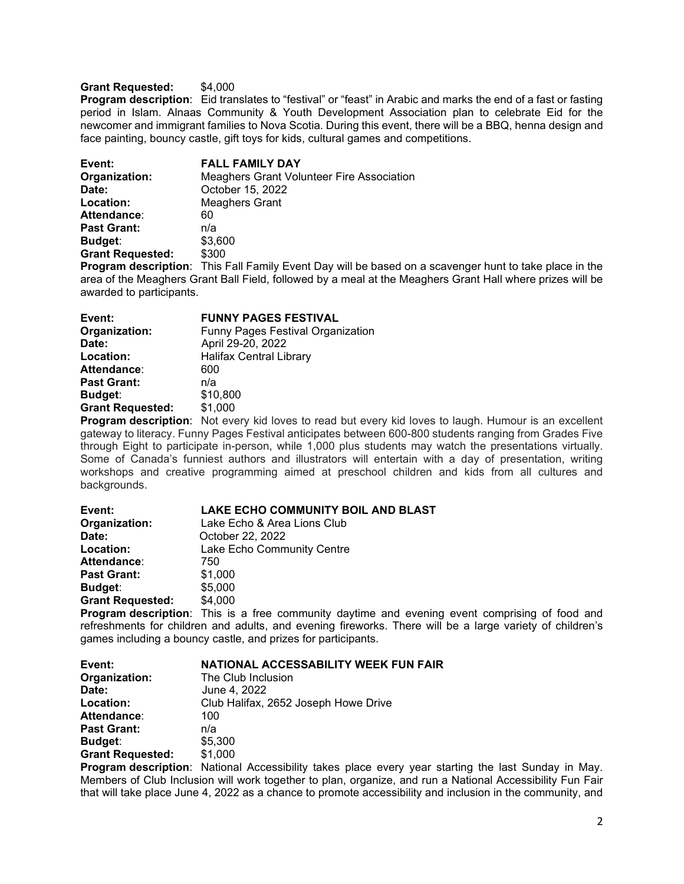## **Grant Requested:** \$4,000

**Program description**: Eid translates to "festival" or "feast" in Arabic and marks the end of a fast or fasting period in Islam. Alnaas Community & Youth Development Association plan to celebrate Eid for the newcomer and immigrant families to Nova Scotia. During this event, there will be a BBQ, henna design and face painting, bouncy castle, gift toys for kids, cultural games and competitions.

| Event:                  | <b>FALL FAMILY DAY</b>                    |
|-------------------------|-------------------------------------------|
| Organization:           | Meaghers Grant Volunteer Fire Association |
| Date:                   | October 15, 2022                          |
| Location:               | Meaghers Grant                            |
| Attendance:             | 60                                        |
| <b>Past Grant:</b>      | n/a                                       |
| Budget:                 | \$3,600                                   |
| <b>Grant Requested:</b> | \$300                                     |
|                         |                                           |

**Program description**: This Fall Family Event Day will be based on a scavenger hunt to take place in the area of the Meaghers Grant Ball Field, followed by a meal at the Meaghers Grant Hall where prizes will be awarded to participants.

| Event:                  | <b>FUNNY PAGES FESTIVAL</b>              |
|-------------------------|------------------------------------------|
| Organization:           | <b>Funny Pages Festival Organization</b> |
| Date:                   | April 29-20, 2022                        |
| Location:               | <b>Halifax Central Library</b>           |
| Attendance:             | 600                                      |
| <b>Past Grant:</b>      | n/a                                      |
| <b>Budget:</b>          | \$10,800                                 |
| <b>Grant Requested:</b> | \$1,000                                  |
|                         |                                          |

**Program description**: Not every kid loves to read but every kid loves to laugh. Humour is an excellent gateway to literacy. Funny Pages Festival anticipates between 600-800 students ranging from Grades Five through Eight to participate in-person, while 1,000 plus students may watch the presentations virtually. Some of Canada's funniest authors and illustrators will entertain with a day of presentation, writing workshops and creative programming aimed at preschool children and kids from all cultures and backgrounds.

| <b>LAKE ECHO COMMUNITY BOIL AND BLAST</b> |
|-------------------------------------------|
| Lake Echo & Area Lions Club               |
| October 22, 2022                          |
| Lake Echo Community Centre                |
| 750                                       |
| \$1,000                                   |
| \$5,000                                   |
| \$4,000                                   |
|                                           |

**Program description**: This is a free community daytime and evening event comprising of food and refreshments for children and adults, and evening fireworks. There will be a large variety of children's games including a bouncy castle, and prizes for participants.

| NATIONAL ACCESSABILITY WEEK FUN FAIR |
|--------------------------------------|
| The Club Inclusion                   |
| June 4, 2022                         |
| Club Halifax, 2652 Joseph Howe Drive |
| 100                                  |
| n/a                                  |
| \$5,300                              |
| \$1,000                              |
|                                      |

**Program description**: National Accessibility takes place every year starting the last Sunday in May. Members of Club Inclusion will work together to plan, organize, and run a National Accessibility Fun Fair that will take place June 4, 2022 as a chance to promote accessibility and inclusion in the community, and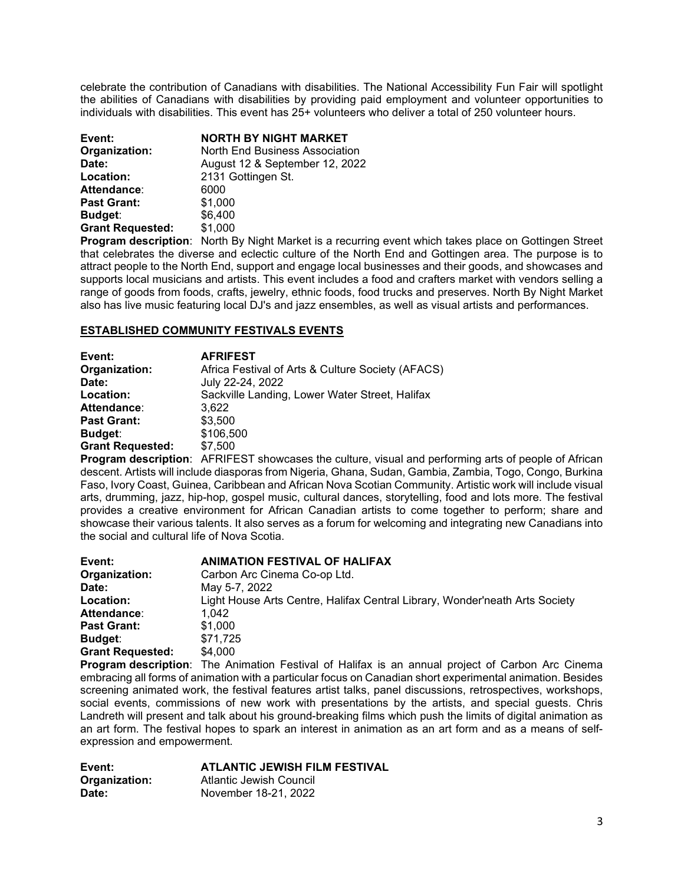celebrate the contribution of Canadians with disabilities. The National Accessibility Fun Fair will spotlight the abilities of Canadians with disabilities by providing paid employment and volunteer opportunities to individuals with disabilities. This event has 25+ volunteers who deliver a total of 250 volunteer hours.

| Event:<br>Organization: | <b>NORTH BY NIGHT MARKET</b><br>North End Business Association |
|-------------------------|----------------------------------------------------------------|
| Date:<br>Location:      | August 12 & September 12, 2022<br>2131 Gottingen St.           |
| Attendance:             | 6000                                                           |
| <b>Past Grant:</b>      | \$1,000                                                        |
| Budget:                 | \$6,400                                                        |
| <b>Grant Requested:</b> | \$1,000                                                        |

**Program description**: North By Night Market is a recurring event which takes place on Gottingen Street that celebrates the diverse and eclectic culture of the North End and Gottingen area. The purpose is to attract people to the North End, support and engage local businesses and their goods, and showcases and supports local musicians and artists. This event includes a food and crafters market with vendors selling a range of goods from foods, crafts, jewelry, ethnic foods, food trucks and preserves. North By Night Market also has live music featuring local DJ's and jazz ensembles, as well as visual artists and performances.

# **ESTABLISHED COMMUNITY FESTIVALS EVENTS**

| Event:                  | <b>AFRIFEST</b>                                   |
|-------------------------|---------------------------------------------------|
| Organization:           | Africa Festival of Arts & Culture Society (AFACS) |
| Date:                   | July 22-24, 2022                                  |
| Location:               | Sackville Landing, Lower Water Street, Halifax    |
| Attendance:             | 3.622                                             |
| <b>Past Grant:</b>      | \$3,500                                           |
| Budget:                 | \$106,500                                         |
| <b>Grant Requested:</b> | \$7,500                                           |

**Program description**: AFRIFEST showcases the culture, visual and performing arts of people of African descent. Artists will include diasporas from Nigeria, Ghana, Sudan, Gambia, Zambia, Togo, Congo, Burkina Faso, Ivory Coast, Guinea, Caribbean and African Nova Scotian Community. Artistic work will include visual arts, drumming, jazz, hip-hop, gospel music, cultural dances, storytelling, food and lots more. The festival provides a creative environment for African Canadian artists to come together to perform; share and showcase their various talents. It also serves as a forum for welcoming and integrating new Canadians into the social and cultural life of Nova Scotia.

| Event:                  | <b>ANIMATION FESTIVAL OF HALIFAX</b>                                        |
|-------------------------|-----------------------------------------------------------------------------|
| Organization:           | Carbon Arc Cinema Co-op Ltd.                                                |
| Date:                   | May 5-7, 2022                                                               |
| Location:               | Light House Arts Centre, Halifax Central Library, Wonder'neath Arts Society |
| Attendance:             | 1.042                                                                       |
| <b>Past Grant:</b>      | \$1,000                                                                     |
| Budget:                 | \$71.725                                                                    |
| <b>Grant Requested:</b> | \$4.000                                                                     |
|                         |                                                                             |

**Program description**: The Animation Festival of Halifax is an annual project of Carbon Arc Cinema embracing all forms of animation with a particular focus on Canadian short experimental animation. Besides screening animated work, the festival features artist talks, panel discussions, retrospectives, workshops, social events, commissions of new work with presentations by the artists, and special guests. Chris Landreth will present and talk about his ground-breaking films which push the limits of digital animation as an art form. The festival hopes to spark an interest in animation as an art form and as a means of selfexpression and empowerment.

| Event:        | <b>ATLANTIC JEWISH FILM FESTIVAL</b> |
|---------------|--------------------------------------|
| Organization: | Atlantic Jewish Council              |
| Date:         | November 18-21, 2022                 |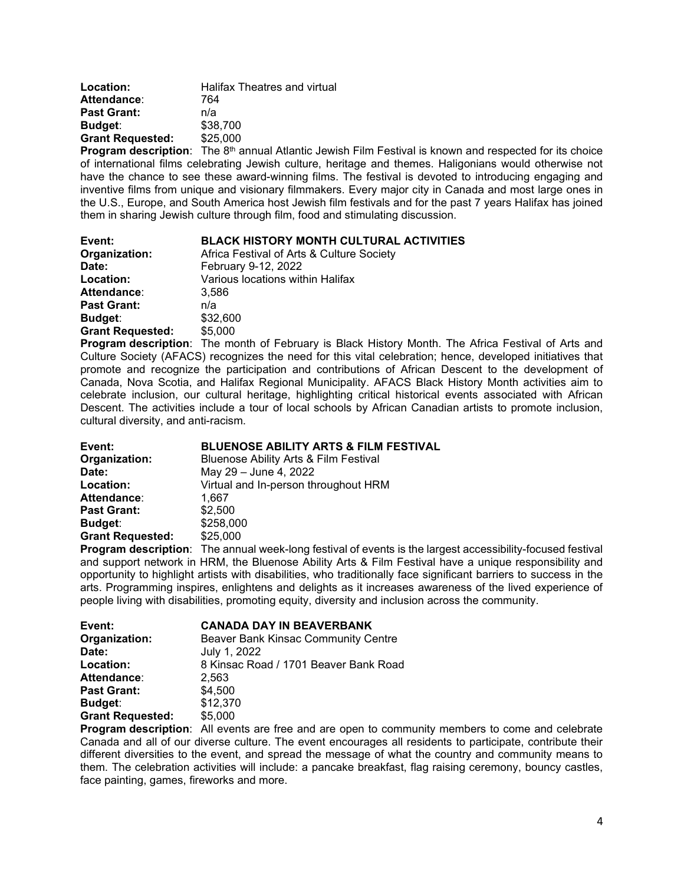| Location:               | <b>Halifax Theatres and virtual</b> |
|-------------------------|-------------------------------------|
| Attendance:             | 764                                 |
| <b>Past Grant:</b>      | n/a                                 |
| Budget:                 | \$38,700                            |
| <b>Grant Requested:</b> | \$25,000                            |
|                         |                                     |

**Program description**: The 8<sup>th</sup> annual Atlantic Jewish Film Festival is known and respected for its choice of international films celebrating Jewish culture, heritage and themes. Haligonians would otherwise not have the chance to see these award-winning films. The festival is devoted to introducing engaging and inventive films from unique and visionary filmmakers. Every major city in Canada and most large ones in the U.S., Europe, and South America host Jewish film festivals and for the past 7 years Halifax has joined them in sharing Jewish culture through film, food and stimulating discussion.

| Event:                  | <b>BLACK HISTORY MONTH CULTURAL ACTIVITIES</b> |
|-------------------------|------------------------------------------------|
| Organization:           | Africa Festival of Arts & Culture Society      |
| Date:                   | February 9-12, 2022                            |
| Location:               | Various locations within Halifax               |
| Attendance:             | 3.586                                          |
| <b>Past Grant:</b>      | n/a                                            |
| Budget:                 | \$32,600                                       |
| <b>Grant Requested:</b> | \$5,000                                        |

**Program description**: The month of February is Black History Month. The Africa Festival of Arts and Culture Society (AFACS) recognizes the need for this vital celebration; hence, developed initiatives that promote and recognize the participation and contributions of African Descent to the development of Canada, Nova Scotia, and Halifax Regional Municipality. AFACS Black History Month activities aim to celebrate inclusion, our cultural heritage, highlighting critical historical events associated with African Descent. The activities include a tour of local schools by African Canadian artists to promote inclusion, cultural diversity, and anti-racism.

| Event:                  | <b>BLUENOSE ABILITY ARTS &amp; FILM FESTIVAL</b> |
|-------------------------|--------------------------------------------------|
| Organization:           | <b>Bluenose Ability Arts &amp; Film Festival</b> |
| Date:                   | May 29 - June 4, 2022                            |
| Location:               | Virtual and In-person throughout HRM             |
| Attendance:             | 1.667                                            |
| <b>Past Grant:</b>      | \$2,500                                          |
| <b>Budget:</b>          | \$258,000                                        |
| <b>Grant Requested:</b> | \$25,000                                         |
|                         | .                                                |

**Program description**: The annual week-long festival of events is the largest accessibility-focused festival and support network in HRM, the Bluenose Ability Arts & Film Festival have a unique responsibility and opportunity to highlight artists with disabilities, who traditionally face significant barriers to success in the arts. Programming inspires, enlightens and delights as it increases awareness of the lived experience of people living with disabilities, promoting equity, diversity and inclusion across the community.

| Event:                  | <b>CANADA DAY IN BEAVERBANK</b>       |
|-------------------------|---------------------------------------|
| Organization:           | Beaver Bank Kinsac Community Centre   |
| Date:                   | July 1, 2022                          |
| Location:               | 8 Kinsac Road / 1701 Beaver Bank Road |
| Attendance:             | 2,563                                 |
| <b>Past Grant:</b>      | \$4,500                               |
| Budget:                 | \$12,370                              |
| <b>Grant Requested:</b> | \$5,000                               |

**Program description**: All events are free and are open to community members to come and celebrate Canada and all of our diverse culture. The event encourages all residents to participate, contribute their different diversities to the event, and spread the message of what the country and community means to them. The celebration activities will include: a pancake breakfast, flag raising ceremony, bouncy castles, face painting, games, fireworks and more.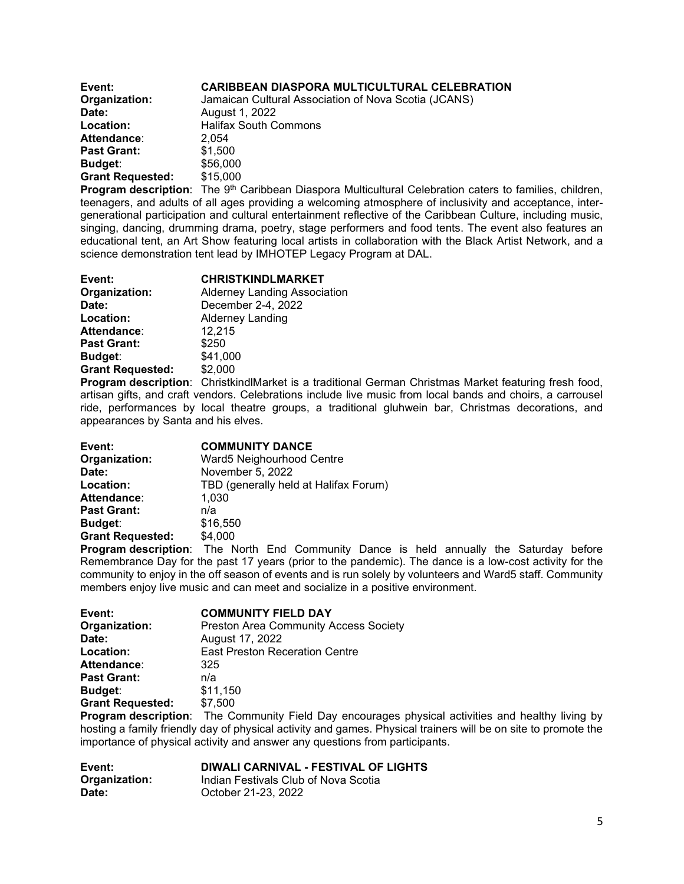| Event:                  | <b>CARIBBEAN DIASPORA MULTICULTURAL CELEBRATION</b>  |
|-------------------------|------------------------------------------------------|
| Organization:           | Jamaican Cultural Association of Nova Scotia (JCANS) |
| Date:                   | August 1, 2022                                       |
| Location:               | <b>Halifax South Commons</b>                         |
| Attendance:             | 2.054                                                |
| <b>Past Grant:</b>      | \$1,500                                              |
| Budget:                 | \$56,000                                             |
| <b>Grant Requested:</b> | \$15,000                                             |

**Program description**: The 9<sup>th</sup> Caribbean Diaspora Multicultural Celebration caters to families, children, teenagers, and adults of all ages providing a welcoming atmosphere of inclusivity and acceptance, intergenerational participation and cultural entertainment reflective of the Caribbean Culture, including music, singing, dancing, drumming drama, poetry, stage performers and food tents. The event also features an educational tent, an Art Show featuring local artists in collaboration with the Black Artist Network, and a science demonstration tent lead by IMHOTEP Legacy Program at DAL.

| Event:                  | <b>CHRISTKINDLMARKET</b>            |
|-------------------------|-------------------------------------|
| Organization:           | <b>Alderney Landing Association</b> |
| Date:                   | December 2-4, 2022                  |
| Location:               | Alderney Landing                    |
| <b>Attendance:</b>      | 12,215                              |
| <b>Past Grant:</b>      | \$250                               |
| Budget:                 | \$41,000                            |
| <b>Grant Requested:</b> | \$2,000                             |
|                         |                                     |

**Program description**: ChristkindlMarket is a traditional German Christmas Market featuring fresh food, artisan gifts, and craft vendors. Celebrations include live music from local bands and choirs, a carrousel ride, performances by local theatre groups, a traditional gluhwein bar, Christmas decorations, and appearances by Santa and his elves.

| Event:                  | <b>COMMUNITY DANCE</b>                |
|-------------------------|---------------------------------------|
| Organization:           | Ward5 Neighourhood Centre             |
| Date:                   | November 5, 2022                      |
| Location:               | TBD (generally held at Halifax Forum) |
| <b>Attendance:</b>      | 1,030                                 |
| <b>Past Grant:</b>      | n/a                                   |
| <b>Budget:</b>          | \$16,550                              |
| <b>Grant Requested:</b> | \$4,000                               |
|                         |                                       |

**Program description**: The North End Community Dance is held annually the Saturday before Remembrance Day for the past 17 years (prior to the pandemic). The dance is a low-cost activity for the community to enjoy in the off season of events and is run solely by volunteers and Ward5 staff. Community members enjoy live music and can meet and socialize in a positive environment.

| Event:                  | <b>COMMUNITY FIELD DAY</b>                   |
|-------------------------|----------------------------------------------|
| Organization:           | <b>Preston Area Community Access Society</b> |
| Date:                   | August 17, 2022                              |
| Location:               | <b>East Preston Receration Centre</b>        |
| Attendance:             | 325                                          |
| <b>Past Grant:</b>      | n/a                                          |
| <b>Budget:</b>          | \$11,150                                     |
| <b>Grant Requested:</b> | \$7,500                                      |

**Program description**: The Community Field Day encourages physical activities and healthy living by hosting a family friendly day of physical activity and games. Physical trainers will be on site to promote the importance of physical activity and answer any questions from participants.

| Event:        | <b>DIWALI CARNIVAL - FESTIVAL OF LIGHTS</b> |
|---------------|---------------------------------------------|
| Organization: | Indian Festivals Club of Nova Scotia        |
| Date:         | October 21-23, 2022                         |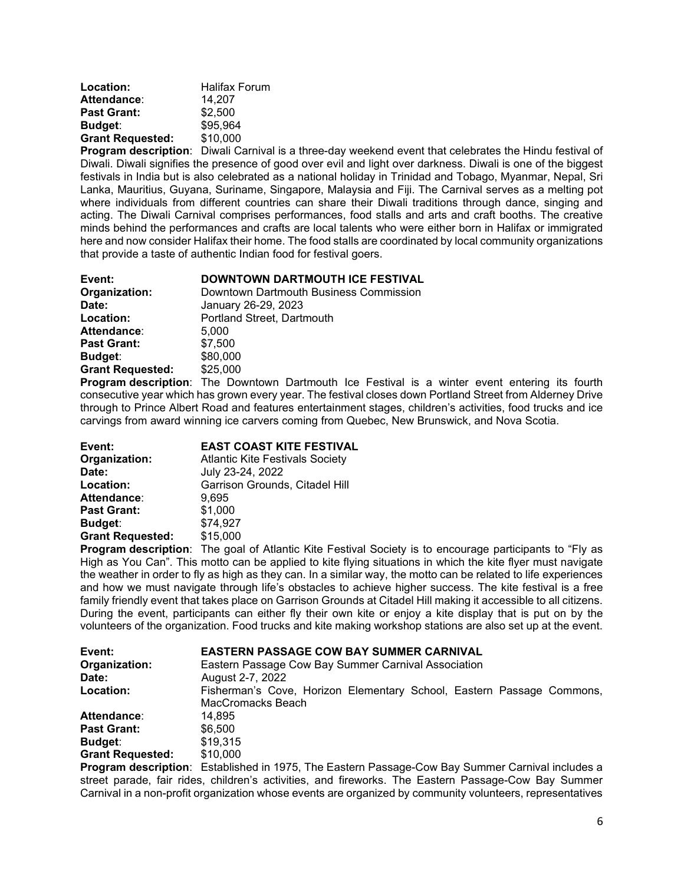| Location:               | <b>Halifax Forum</b> |
|-------------------------|----------------------|
| Attendance:             | 14.207               |
| <b>Past Grant:</b>      | \$2,500              |
| Budget:                 | \$95,964             |
| <b>Grant Requested:</b> | \$10,000             |
|                         |                      |

**Program description**: Diwali Carnival is a three-day weekend event that celebrates the Hindu festival of Diwali. Diwali signifies the presence of good over evil and light over darkness. Diwali is one of the biggest festivals in India but is also celebrated as a national holiday in Trinidad and Tobago, Myanmar, Nepal, Sri Lanka, Mauritius, Guyana, Suriname, Singapore, Malaysia and Fiji. The Carnival serves as a melting pot where individuals from different countries can share their Diwali traditions through dance, singing and acting. The Diwali Carnival comprises performances, food stalls and arts and craft booths. The creative minds behind the performances and crafts are local talents who were either born in Halifax or immigrated here and now consider Halifax their home. The food stalls are coordinated by local community organizations that provide a taste of authentic Indian food for festival goers.

| Event:                  | <b>DOWNTOWN DARTMOUTH ICE FESTIVAL</b> |
|-------------------------|----------------------------------------|
| Organization:           | Downtown Dartmouth Business Commission |
| Date:                   | January 26-29, 2023                    |
| Location:               | Portland Street, Dartmouth             |
| <b>Attendance:</b>      | 5.000                                  |
| <b>Past Grant:</b>      | \$7,500                                |
| <b>Budget:</b>          | \$80,000                               |
| <b>Grant Requested:</b> | \$25,000                               |

**Program description**: The Downtown Dartmouth Ice Festival is a winter event entering its fourth consecutive year which has grown every year. The festival closes down Portland Street from Alderney Drive through to Prince Albert Road and features entertainment stages, children's activities, food trucks and ice carvings from award winning ice carvers coming from Quebec, New Brunswick, and Nova Scotia.

| Event:                  | <b>EAST COAST KITE FESTIVAL</b>        |
|-------------------------|----------------------------------------|
| Organization:           | <b>Atlantic Kite Festivals Society</b> |
| Date:                   | July 23-24, 2022                       |
| Location:               | Garrison Grounds, Citadel Hill         |
| Attendance:             | 9,695                                  |
| <b>Past Grant:</b>      | \$1,000                                |
| <b>Budget:</b>          | \$74,927                               |
| <b>Grant Requested:</b> | \$15,000                               |
|                         |                                        |

**Program description**: The goal of Atlantic Kite Festival Society is to encourage participants to "Fly as High as You Can". This motto can be applied to kite flying situations in which the kite flyer must navigate the weather in order to fly as high as they can. In a similar way, the motto can be related to life experiences and how we must navigate through life's obstacles to achieve higher success. The kite festival is a free family friendly event that takes place on Garrison Grounds at Citadel Hill making it accessible to all citizens. During the event, participants can either fly their own kite or enjoy a kite display that is put on by the volunteers of the organization. Food trucks and kite making workshop stations are also set up at the event.

| Event:                  | <b>EASTERN PASSAGE COW BAY SUMMER CARNIVAL</b>                                             |  |
|-------------------------|--------------------------------------------------------------------------------------------|--|
| Organization:           | Eastern Passage Cow Bay Summer Carnival Association                                        |  |
| Date:                   | August 2-7, 2022                                                                           |  |
| Location:               | Fisherman's Cove, Horizon Elementary School, Eastern Passage Commons,<br>MacCromacks Beach |  |
| Attendance:             | 14.895                                                                                     |  |
| <b>Past Grant:</b>      | \$6.500                                                                                    |  |
| Budget:                 | \$19.315                                                                                   |  |
| <b>Grant Requested:</b> | \$10,000                                                                                   |  |

**Program description**: Established in 1975, The Eastern Passage-Cow Bay Summer Carnival includes a street parade, fair rides, children's activities, and fireworks. The Eastern Passage-Cow Bay Summer Carnival in a non-profit organization whose events are organized by community volunteers, representatives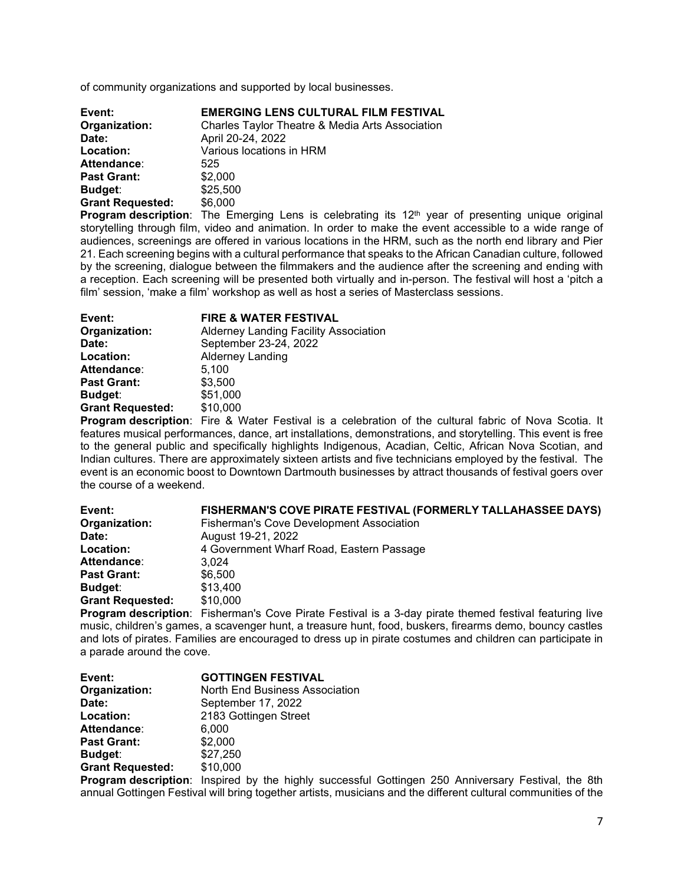of community organizations and supported by local businesses.

| Event:                  | <b>EMERGING LENS CULTURAL FILM FESTIVAL</b>     |
|-------------------------|-------------------------------------------------|
| Organization:           | Charles Taylor Theatre & Media Arts Association |
| Date:                   | April 20-24, 2022                               |
| Location:               | Various locations in HRM                        |
| Attendance:             | 525                                             |
| <b>Past Grant:</b>      | \$2,000                                         |
| Budget:                 | \$25,500                                        |
| <b>Grant Requested:</b> | \$6,000                                         |

**Program description**: The Emerging Lens is celebrating its 12<sup>th</sup> year of presenting unique original storytelling through film, video and animation. In order to make the event accessible to a wide range of audiences, screenings are offered in various locations in the HRM, such as the north end library and Pier 21. Each screening begins with a cultural performance that speaks to the African Canadian culture, followed by the screening, dialogue between the filmmakers and the audience after the screening and ending with a reception. Each screening will be presented both virtually and in-person. The festival will host a 'pitch a film' session, 'make a film' workshop as well as host a series of Masterclass sessions.

| Event:                  | <b>FIRE &amp; WATER FESTIVAL</b>                                                                                                                                                                                                                                                                                                                                                   |
|-------------------------|------------------------------------------------------------------------------------------------------------------------------------------------------------------------------------------------------------------------------------------------------------------------------------------------------------------------------------------------------------------------------------|
| Organization:           | Alderney Landing Facility Association                                                                                                                                                                                                                                                                                                                                              |
| Date:                   | September 23-24, 2022                                                                                                                                                                                                                                                                                                                                                              |
| Location:               | Alderney Landing                                                                                                                                                                                                                                                                                                                                                                   |
| <b>Attendance:</b>      | 5,100                                                                                                                                                                                                                                                                                                                                                                              |
| <b>Past Grant:</b>      | \$3,500                                                                                                                                                                                                                                                                                                                                                                            |
| <b>Budget:</b>          | \$51,000                                                                                                                                                                                                                                                                                                                                                                           |
| <b>Grant Requested:</b> | \$10,000                                                                                                                                                                                                                                                                                                                                                                           |
|                         | $\mathbf{D}_{\text{max}}$ and $\mathbf{L}_{\text{max}}$ and $\mathbf{L}_{\text{max}}$ and $\mathbf{L}_{\text{max}}$ and $\mathbf{L}_{\text{max}}$ and $\mathbf{L}_{\text{max}}$ and $\mathbf{L}_{\text{max}}$ and $\mathbf{L}_{\text{max}}$ and $\mathbf{L}_{\text{max}}$ and $\mathbf{L}_{\text{max}}$ and $\mathbf{L}_{\text{max}}$ and $\mathbf{L}_{\text{max}}$ and $\mathbf{$ |

**Program description**: Fire & Water Festival is a celebration of the cultural fabric of Nova Scotia. It features musical performances, dance, art installations, demonstrations, and storytelling. This event is free to the general public and specifically highlights Indigenous, Acadian, Celtic, African Nova Scotian, and Indian cultures. There are approximately sixteen artists and five technicians employed by the festival. The event is an economic boost to Downtown Dartmouth businesses by attract thousands of festival goers over the course of a weekend.

| Event:                  | <b>FISHERMAN'S COVE PIRATE FESTIVAL (FORMERLY TALLAHASSEE DAYS)</b> |
|-------------------------|---------------------------------------------------------------------|
| Organization:           | Fisherman's Cove Development Association                            |
| Date:                   | August 19-21, 2022                                                  |
| Location:               | 4 Government Wharf Road, Eastern Passage                            |
| <b>Attendance:</b>      | 3.024                                                               |
| <b>Past Grant:</b>      | \$6.500                                                             |
| <b>Budget:</b>          | \$13,400                                                            |
| <b>Grant Requested:</b> | \$10,000                                                            |
|                         |                                                                     |

**Program description**: Fisherman's Cove Pirate Festival is a 3-day pirate themed festival featuring live music, children's games, a scavenger hunt, a treasure hunt, food, buskers, firearms demo, bouncy castles and lots of pirates. Families are encouraged to dress up in pirate costumes and children can participate in a parade around the cove.

| Event:                  | <b>GOTTINGEN FESTIVAL</b>      |
|-------------------------|--------------------------------|
| Organization:           | North End Business Association |
| Date:                   | September 17, 2022             |
| Location:               | 2183 Gottingen Street          |
| Attendance:             | 6,000                          |
| <b>Past Grant:</b>      | \$2,000                        |
| Budget:                 | \$27,250                       |
| <b>Grant Requested:</b> | \$10,000                       |

**Program description**: Inspired by the highly successful Gottingen 250 Anniversary Festival, the 8th annual Gottingen Festival will bring together artists, musicians and the different cultural communities of the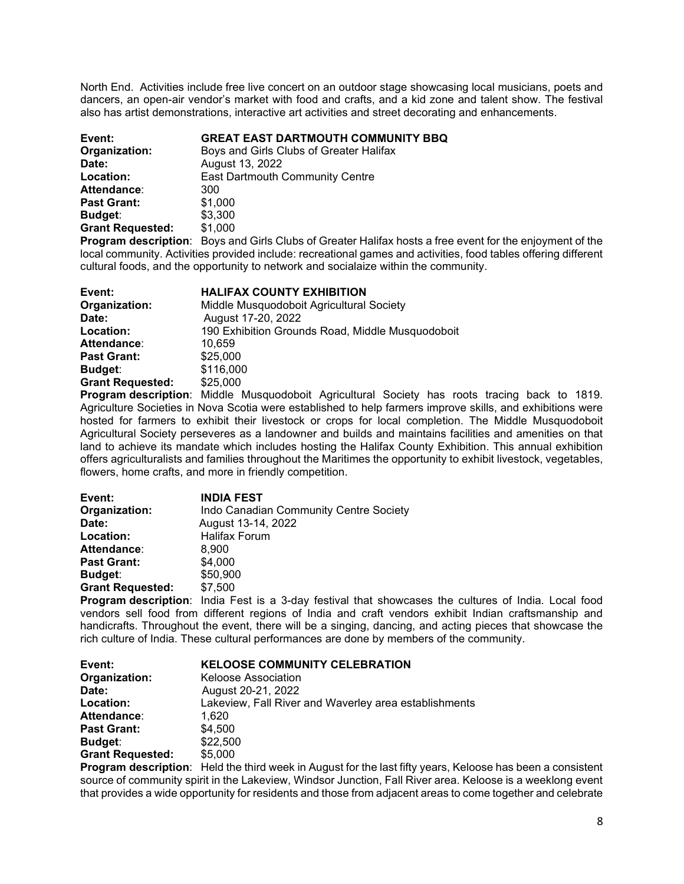North End. Activities include free live concert on an outdoor stage showcasing local musicians, poets and dancers, an open-air vendor's market with food and crafts, and a kid zone and talent show. The festival also has artist demonstrations, interactive art activities and street decorating and enhancements.

| Event:                  | <b>GREAT EAST DARTMOUTH COMMUNITY BBQ</b> |
|-------------------------|-------------------------------------------|
| Organization:           | Boys and Girls Clubs of Greater Halifax   |
| Date:                   | August 13, 2022                           |
| Location:               | <b>East Dartmouth Community Centre</b>    |
| Attendance:             | 300                                       |
| <b>Past Grant:</b>      | \$1,000                                   |
| <b>Budget:</b>          | \$3,300                                   |
| <b>Grant Requested:</b> | \$1,000                                   |

**Program description**: Boys and Girls Clubs of Greater Halifax hosts a free event for the enjoyment of the local community. Activities provided include: recreational games and activities, food tables offering different cultural foods, and the opportunity to network and socialaize within the community.

| Event:                  | <b>HALIFAX COUNTY EXHIBITION</b>                 |
|-------------------------|--------------------------------------------------|
| Organization:           | Middle Musquodoboit Agricultural Society         |
| Date:                   | August 17-20, 2022                               |
| Location:               | 190 Exhibition Grounds Road, Middle Musquodoboit |
| Attendance:             | 10.659                                           |
| <b>Past Grant:</b>      | \$25,000                                         |
| <b>Budget:</b>          | \$116,000                                        |
| <b>Grant Requested:</b> | \$25,000                                         |
|                         |                                                  |

**Program description**: Middle Musquodoboit Agricultural Society has roots tracing back to 1819. Agriculture Societies in Nova Scotia were established to help farmers improve skills, and exhibitions were hosted for farmers to exhibit their livestock or crops for local completion. The Middle Musquodoboit Agricultural Society perseveres as a landowner and builds and maintains facilities and amenities on that land to achieve its mandate which includes hosting the Halifax County Exhibition. This annual exhibition offers agriculturalists and families throughout the Maritimes the opportunity to exhibit livestock, vegetables, flowers, home crafts, and more in friendly competition.

| Event:                  | <b>INDIA FEST</b>                      |
|-------------------------|----------------------------------------|
| Organization:           | Indo Canadian Community Centre Society |
| Date:                   | August 13-14, 2022                     |
| Location:               | <b>Halifax Forum</b>                   |
| <b>Attendance:</b>      | 8,900                                  |
| <b>Past Grant:</b>      | \$4,000                                |
| <b>Budget:</b>          | \$50,900                               |
| <b>Grant Requested:</b> | \$7,500                                |
|                         |                                        |

**Program description**: India Fest is a 3-day festival that showcases the cultures of India. Local food vendors sell food from different regions of India and craft vendors exhibit Indian craftsmanship and handicrafts. Throughout the event, there will be a singing, dancing, and acting pieces that showcase the rich culture of India. These cultural performances are done by members of the community.

| Event:                  | <b>KELOOSE COMMUNITY CELEBRATION</b>                  |
|-------------------------|-------------------------------------------------------|
| Organization:           | Keloose Association                                   |
| Date:                   | August 20-21, 2022                                    |
| Location:               | Lakeview, Fall River and Waverley area establishments |
| Attendance:             | 1.620                                                 |
| <b>Past Grant:</b>      | \$4,500                                               |
| <b>Budget:</b>          | \$22,500                                              |
| <b>Grant Requested:</b> | \$5,000                                               |

**Program description**: Held the third week in August for the last fifty years, Keloose has been a consistent source of community spirit in the Lakeview, Windsor Junction, Fall River area. Keloose is a weeklong event that provides a wide opportunity for residents and those from adjacent areas to come together and celebrate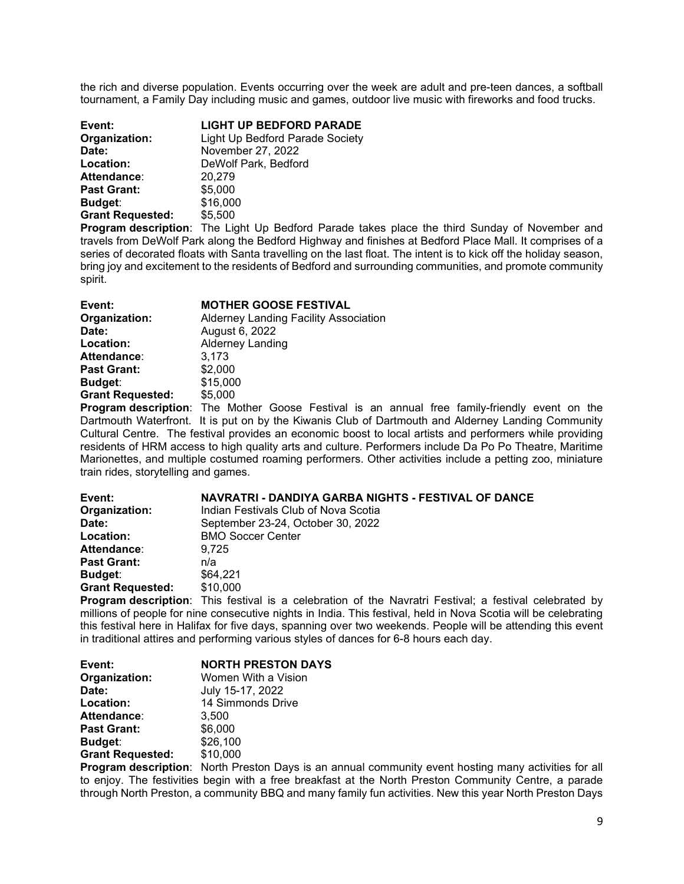the rich and diverse population. Events occurring over the week are adult and pre-teen dances, a softball tournament, a Family Day including music and games, outdoor live music with fireworks and food trucks.

| Event:                  | <b>LIGHT UP BEDFORD PARADE</b>  |
|-------------------------|---------------------------------|
| Organization:           | Light Up Bedford Parade Society |
| Date:                   | November 27, 2022               |
| Location:               | DeWolf Park, Bedford            |
| <b>Attendance:</b>      | 20,279                          |
| <b>Past Grant:</b>      | \$5,000                         |
| Budget:                 | \$16,000                        |
| <b>Grant Requested:</b> | \$5,500                         |

**Program description**: The Light Up Bedford Parade takes place the third Sunday of November and travels from DeWolf Park along the Bedford Highway and finishes at Bedford Place Mall. It comprises of a series of decorated floats with Santa travelling on the last float. The intent is to kick off the holiday season, bring joy and excitement to the residents of Bedford and surrounding communities, and promote community spirit.

| Event:                  | <b>MOTHER GOOSE FESTIVAL</b>                 |
|-------------------------|----------------------------------------------|
| Organization:           | <b>Alderney Landing Facility Association</b> |
| Date:                   | August 6, 2022                               |
| Location:               | <b>Alderney Landing</b>                      |
| Attendance:             | 3,173                                        |
| <b>Past Grant:</b>      | \$2,000                                      |
| <b>Budget:</b>          | \$15,000                                     |
| <b>Grant Requested:</b> | \$5,000                                      |

**Program description**: The Mother Goose Festival is an annual free family-friendly event on the Dartmouth Waterfront. It is put on by the Kiwanis Club of Dartmouth and Alderney Landing Community Cultural Centre. The festival provides an economic boost to local artists and performers while providing residents of HRM access to high quality arts and culture. Performers include Da Po Po Theatre, Maritime Marionettes, and multiple costumed roaming performers. Other activities include a petting zoo, miniature train rides, storytelling and games.

| Event:                  | NAVRATRI - DANDIYA GARBA NIGHTS - FESTIVAL OF DANCE |
|-------------------------|-----------------------------------------------------|
| Organization:           | Indian Festivals Club of Nova Scotia                |
| Date:                   | September 23-24, October 30, 2022                   |
| Location:               | <b>BMO Soccer Center</b>                            |
| Attendance:             | 9.725                                               |
| <b>Past Grant:</b>      | n/a                                                 |
| <b>Budget:</b>          | \$64.221                                            |
| <b>Grant Requested:</b> | \$10,000                                            |
|                         |                                                     |

**Program description**: This festival is a celebration of the Navratri Festival; a festival celebrated by millions of people for nine consecutive nights in India. This festival, held in Nova Scotia will be celebrating this festival here in Halifax for five days, spanning over two weekends. People will be attending this event in traditional attires and performing various styles of dances for 6-8 hours each day.

| Event:                  | <b>NORTH PRESTON DAYS</b> |
|-------------------------|---------------------------|
| Organization:           | Women With a Vision       |
| Date:                   | July 15-17, 2022          |
| Location:               | 14 Simmonds Drive         |
| Attendance:             | 3.500                     |
| <b>Past Grant:</b>      | \$6,000                   |
| <b>Budget:</b>          | \$26,100                  |
| <b>Grant Requested:</b> | \$10,000                  |

**Program description**: North Preston Days is an annual community event hosting many activities for all to enjoy. The festivities begin with a free breakfast at the North Preston Community Centre, a parade through North Preston, a community BBQ and many family fun activities. New this year North Preston Days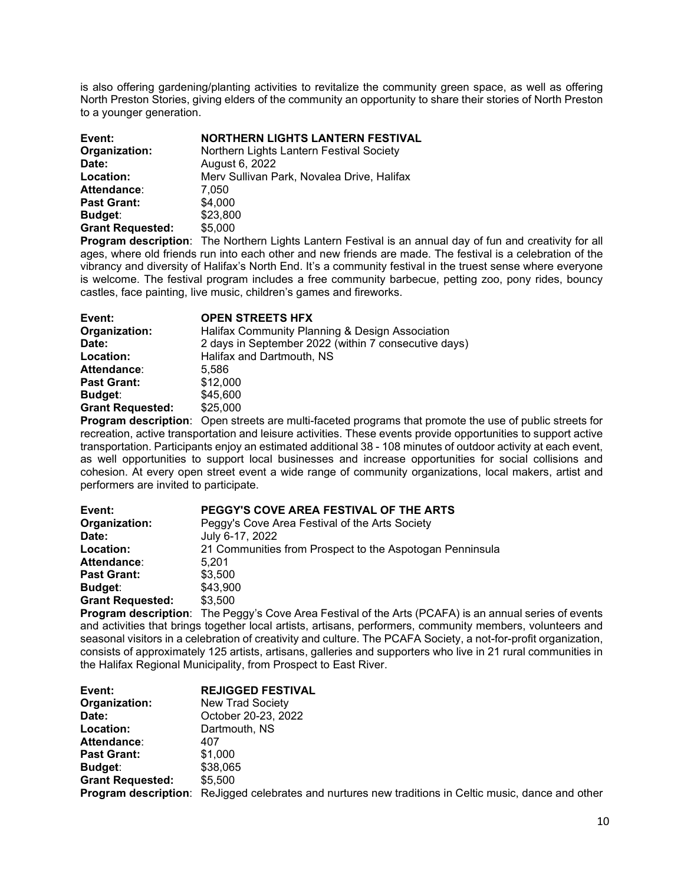is also offering gardening/planting activities to revitalize the community green space, as well as offering North Preston Stories, giving elders of the community an opportunity to share their stories of North Preston to a younger generation.

| Event:                  | <b>NORTHERN LIGHTS LANTERN FESTIVAL</b>    |
|-------------------------|--------------------------------------------|
| Organization:           | Northern Lights Lantern Festival Society   |
| Date:                   | August 6, 2022                             |
| Location:               | Merv Sullivan Park, Novalea Drive, Halifax |
| Attendance:             | 7.050                                      |
| <b>Past Grant:</b>      | \$4,000                                    |
| Budget:                 | \$23,800                                   |
| <b>Grant Requested:</b> | \$5,000                                    |
|                         |                                            |

**Program description**: The Northern Lights Lantern Festival is an annual day of fun and creativity for all ages, where old friends run into each other and new friends are made. The festival is a celebration of the vibrancy and diversity of Halifax's North End. It's a community festival in the truest sense where everyone is welcome. The festival program includes a free community barbecue, petting zoo, pony rides, bouncy castles, face painting, live music, children's games and fireworks.

| Event:                  | <b>OPEN STREETS HFX</b>                              |
|-------------------------|------------------------------------------------------|
| Organization:           | Halifax Community Planning & Design Association      |
| Date:                   | 2 days in September 2022 (within 7 consecutive days) |
| Location:               | Halifax and Dartmouth, NS                            |
| Attendance:             | 5.586                                                |
| <b>Past Grant:</b>      | \$12,000                                             |
| Budget:                 | \$45,600                                             |
| <b>Grant Requested:</b> | \$25,000                                             |
|                         |                                                      |

**Program description**: Open streets are multi-faceted programs that promote the use of public streets for recreation, active transportation and leisure activities. These events provide opportunities to support active transportation. Participants enjoy an estimated additional 38 - 108 minutes of outdoor activity at each event, as well opportunities to support local businesses and increase opportunities for social collisions and cohesion. At every open street event a wide range of community organizations, local makers, artist and performers are invited to participate.

| Event:                  | PEGGY'S COVE AREA FESTIVAL OF THE ARTS                                                   |
|-------------------------|------------------------------------------------------------------------------------------|
| Organization:           | Peggy's Cove Area Festival of the Arts Society                                           |
| Date:                   | July 6-17, 2022                                                                          |
| Location:               | 21 Communities from Prospect to the Aspotogan Penninsula                                 |
| Attendance:             | 5.201                                                                                    |
| <b>Past Grant:</b>      | \$3.500                                                                                  |
| <b>Budget:</b>          | \$43,900                                                                                 |
| <b>Grant Requested:</b> | \$3,500                                                                                  |
|                         | <b>Dreament departments:</b> The Departs Caus Appe Feeting of the Apts (DOAFA) is an app |

**Program description**: The Peggy's Cove Area Festival of the Arts (PCAFA) is an annual series of events and activities that brings together local artists, artisans, performers, community members, volunteers and seasonal visitors in a celebration of creativity and culture. The PCAFA Society, a not-for-profit organization, consists of approximately 125 artists, artisans, galleries and supporters who live in 21 rural communities in the Halifax Regional Municipality, from Prospect to East River.

| Organization:<br><b>New Trad Society</b><br>October 20-23, 2022<br>Date:<br>Dartmouth, NS<br>Location:<br><b>Attendance:</b><br>407<br><b>Past Grant:</b><br>\$1,000<br>\$38,065<br>Budget:<br><b>Grant Requested:</b><br>\$5.500<br><b>Program description:</b> ReJigged celebrates and nurtures new traditions in Celtic music, dance and other | Event: | <b>REJIGGED FESTIVAL</b> |
|---------------------------------------------------------------------------------------------------------------------------------------------------------------------------------------------------------------------------------------------------------------------------------------------------------------------------------------------------|--------|--------------------------|
|                                                                                                                                                                                                                                                                                                                                                   |        |                          |
|                                                                                                                                                                                                                                                                                                                                                   |        |                          |
|                                                                                                                                                                                                                                                                                                                                                   |        |                          |
|                                                                                                                                                                                                                                                                                                                                                   |        |                          |
|                                                                                                                                                                                                                                                                                                                                                   |        |                          |
|                                                                                                                                                                                                                                                                                                                                                   |        |                          |
|                                                                                                                                                                                                                                                                                                                                                   |        |                          |
|                                                                                                                                                                                                                                                                                                                                                   |        |                          |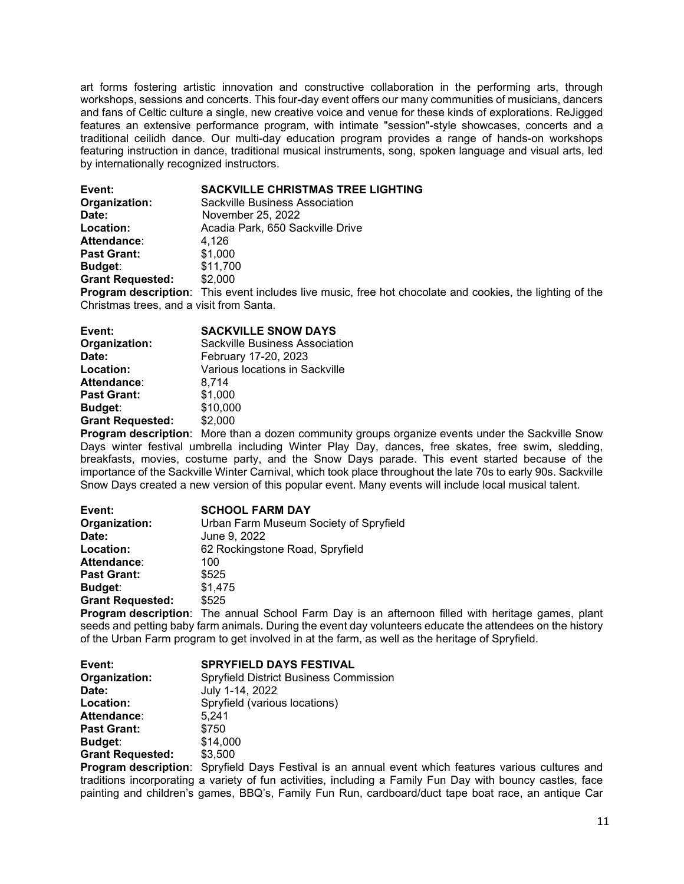art forms fostering artistic innovation and constructive collaboration in the performing arts, through workshops, sessions and concerts. This four-day event offers our many communities of musicians, dancers and fans of Celtic culture a single, new creative voice and venue for these kinds of explorations. ReJigged features an extensive performance program, with intimate "session"-style showcases, concerts and a traditional ceilidh dance. Our multi-day education program provides a range of hands-on workshops featuring instruction in dance, traditional musical instruments, song, spoken language and visual arts, led by internationally recognized instructors.

| Event:<br>Organization:                  | <b>SACKVILLE CHRISTMAS TREE LIGHTING</b><br>Sackville Business Association                                       |
|------------------------------------------|------------------------------------------------------------------------------------------------------------------|
| Date:                                    | November 25, 2022                                                                                                |
| Location:                                | Acadia Park, 650 Sackville Drive                                                                                 |
| Attendance:                              | 4.126                                                                                                            |
| <b>Past Grant:</b>                       | \$1,000                                                                                                          |
| Budget:                                  | \$11,700                                                                                                         |
| <b>Grant Requested:</b>                  | \$2,000                                                                                                          |
| Christmas trees, and a visit from Santa. | <b>Program description</b> : This event includes live music, free hot chocolate and cookies, the lighting of the |

| Event:                  | <b>SACKVILLE SNOW DAYS</b>     |
|-------------------------|--------------------------------|
| Organization:           | Sackville Business Association |
| Date:                   | February 17-20, 2023           |
| Location:               | Various locations in Sackville |
| Attendance:             | 8.714                          |
| <b>Past Grant:</b>      | \$1,000                        |
| Budget:                 | \$10,000                       |
| <b>Grant Requested:</b> | \$2,000                        |
| Drogram docarintian:    | Mara than a dazan community    |

**Program description**: More than a dozen community groups organize events under the Sackville Snow Days winter festival umbrella including Winter Play Day, dances, free skates, free swim, sledding, breakfasts, movies, costume party, and the Snow Days parade. This event started because of the importance of the Sackville Winter Carnival, which took place throughout the late 70s to early 90s. Sackville Snow Days created a new version of this popular event. Many events will include local musical talent.

| Event:                  | <b>SCHOOL FARM DAY</b>                 |
|-------------------------|----------------------------------------|
| Organization:           | Urban Farm Museum Society of Spryfield |
| Date:                   | June 9, 2022                           |
| Location:               | 62 Rockingstone Road, Spryfield        |
| Attendance:             | 100                                    |
| <b>Past Grant:</b>      | \$525                                  |
| Budget:                 | \$1,475                                |
| <b>Grant Requested:</b> | \$525                                  |
|                         |                                        |

**Program description**: The annual School Farm Day is an afternoon filled with heritage games, plant seeds and petting baby farm animals. During the event day volunteers educate the attendees on the history of the Urban Farm program to get involved in at the farm, as well as the heritage of Spryfield.

| Event:                  | <b>SPRYFIELD DAYS FESTIVAL</b>         |
|-------------------------|----------------------------------------|
| Organization:           | Spryfield District Business Commission |
| Date:                   | July 1-14, 2022                        |
| Location:               | Spryfield (various locations)          |
| Attendance:             | 5.241                                  |
| <b>Past Grant:</b>      | \$750                                  |
| <b>Budget:</b>          | \$14,000                               |
| <b>Grant Requested:</b> | \$3,500                                |
|                         |                                        |

**Program description**: Spryfield Days Festival is an annual event which features various cultures and traditions incorporating a variety of fun activities, including a Family Fun Day with bouncy castles, face painting and children's games, BBQ's, Family Fun Run, cardboard/duct tape boat race, an antique Car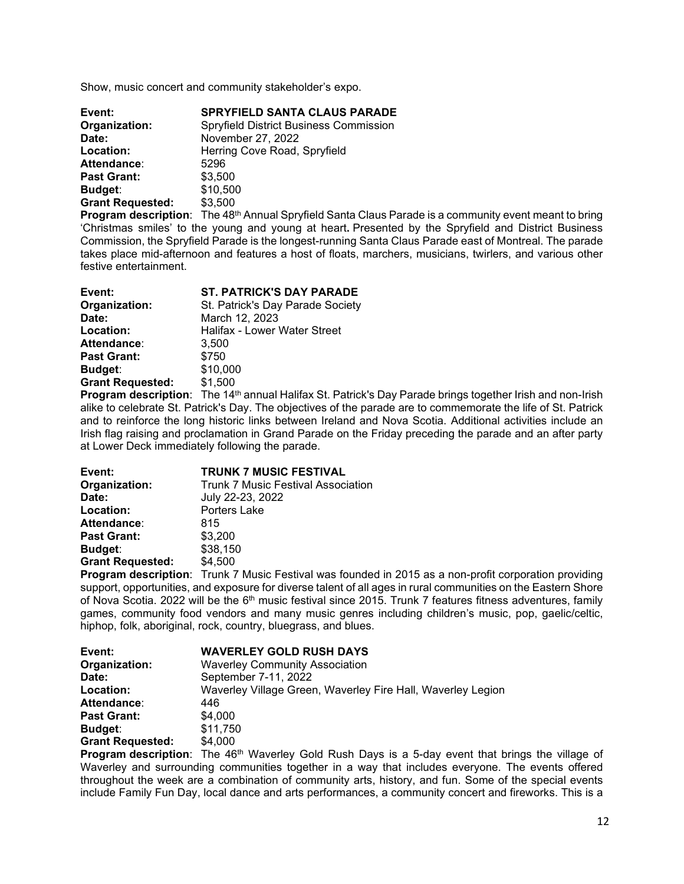Show, music concert and community stakeholder's expo.

| Event:                  | <b>SPRYFIELD SANTA CLAUS PARADE</b>           |
|-------------------------|-----------------------------------------------|
| Organization:           | <b>Spryfield District Business Commission</b> |
| Date:                   | November 27, 2022                             |
| Location:               | Herring Cove Road, Spryfield                  |
| Attendance:             | 5296                                          |
| <b>Past Grant:</b>      | \$3,500                                       |
| Budget:                 | \$10,500                                      |
| <b>Grant Requested:</b> | \$3,500                                       |

**Program description**: The 48<sup>th</sup> Annual Spryfield Santa Claus Parade is a community event meant to bring 'Christmas smiles' to the young and young at heart**.** Presented by the Spryfield and District Business Commission, the Spryfield Parade is the longest-running Santa Claus Parade east of Montreal. The parade takes place mid-afternoon and features a host of floats, marchers, musicians, twirlers, and various other festive entertainment.

| Event:                                                                                                        | <b>ST. PATRICK'S DAY PARADE</b>  |
|---------------------------------------------------------------------------------------------------------------|----------------------------------|
| Organization:                                                                                                 | St. Patrick's Day Parade Society |
| Date:                                                                                                         | March 12, 2023                   |
| Location:                                                                                                     | Halifax - Lower Water Street     |
| Attendance:                                                                                                   | 3.500                            |
| <b>Past Grant:</b>                                                                                            | \$750                            |
| Budget:                                                                                                       | \$10,000                         |
| <b>Grant Requested:</b>                                                                                       | \$1,500                          |
| Books and a constitution of the state of the state of the state of the state of the state of the state of the | $TL = 4.4H$                      |

**Program description**: The 14<sup>th</sup> annual Halifax St. Patrick's Day Parade brings together Irish and non-Irish alike to celebrate St. Patrick's Day. The objectives of the parade are to commemorate the life of St. Patrick and to reinforce the long historic links between Ireland and Nova Scotia. Additional activities include an Irish flag raising and proclamation in Grand Parade on the Friday preceding the parade and an after party at Lower Deck immediately following the parade.

| Event:                  | <b>TRUNK 7 MUSIC FESTIVAL</b>                            |
|-------------------------|----------------------------------------------------------|
| Organization:           | <b>Trunk 7 Music Festival Association</b>                |
| Date:                   | July 22-23, 2022                                         |
| Location:               | Porters Lake                                             |
| <b>Attendance:</b>      | 815                                                      |
| <b>Past Grant:</b>      | \$3,200                                                  |
| Budget:                 | \$38,150                                                 |
| <b>Grant Requested:</b> | \$4,500                                                  |
|                         | Duanuare desartution. Truple 7 Music Footpal was founded |

**Program description**: Trunk 7 Music Festival was founded in 2015 as a non-profit corporation providing support, opportunities, and exposure for diverse talent of all ages in rural communities on the Eastern Shore of Nova Scotia. 2022 will be the 6<sup>th</sup> music festival since 2015. Trunk 7 features fitness adventures, family games, community food vendors and many music genres including children's music, pop, gaelic/celtic, hiphop, folk, aboriginal, rock, country, bluegrass, and blues.

| <b>WAVERLEY GOLD RUSH DAYS</b>                              |
|-------------------------------------------------------------|
| <b>Waverley Community Association</b>                       |
| September 7-11, 2022                                        |
| Waverley Village Green, Waverley Fire Hall, Waverley Legion |
| 446                                                         |
| \$4,000                                                     |
| \$11,750                                                    |
| \$4,000                                                     |
|                                                             |

**Program description**: The 46<sup>th</sup> Waverley Gold Rush Days is a 5-day event that brings the village of Waverley and surrounding communities together in a way that includes everyone. The events offered throughout the week are a combination of community arts, history, and fun. Some of the special events include Family Fun Day, local dance and arts performances, a community concert and fireworks. This is a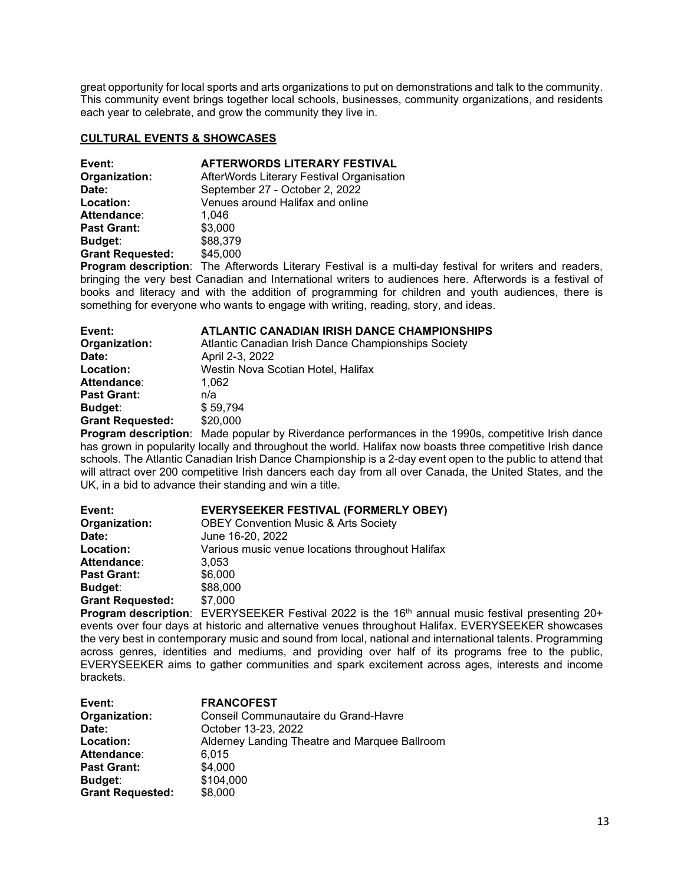great opportunity for local sports and arts organizations to put on demonstrations and talk to the community. This community event brings together local schools, businesses, community organizations, and residents each year to celebrate, and grow the community they live in.

## **CULTURAL EVENTS & SHOWCASES**

| Event:                  | AFTERWORDS LITERARY FESTIVAL              |
|-------------------------|-------------------------------------------|
| Organization:           | AfterWords Literary Festival Organisation |
| Date:                   | September 27 - October 2, 2022            |
| Location:               | Venues around Halifax and online          |
| Attendance:             | 1.046                                     |
| <b>Past Grant:</b>      | \$3,000                                   |
| <b>Budget:</b>          | \$88,379                                  |
| <b>Grant Requested:</b> | \$45,000                                  |
|                         |                                           |

**Program description**: The Afterwords Literary Festival is a multi-day festival for writers and readers, bringing the very best Canadian and International writers to audiences here. Afterwords is a festival of books and literacy and with the addition of programming for children and youth audiences, there is something for everyone who wants to engage with writing, reading, story, and ideas.

| Event:                  | <b>ATLANTIC CANADIAN IRISH DANCE CHAMPIONSHIPS</b>  |
|-------------------------|-----------------------------------------------------|
| Organization:           | Atlantic Canadian Irish Dance Championships Society |
| Date:                   | April 2-3, 2022                                     |
| Location:               | Westin Nova Scotian Hotel, Halifax                  |
| Attendance:             | 1.062                                               |
| <b>Past Grant:</b>      | n/a                                                 |
| Budget:                 | \$59,794                                            |
| <b>Grant Requested:</b> | \$20,000                                            |
|                         |                                                     |

**Program description**: Made popular by Riverdance performances in the 1990s, competitive Irish dance has grown in popularity locally and throughout the world. Halifax now boasts three competitive Irish dance schools. The Atlantic Canadian Irish Dance Championship is a 2-day event open to the public to attend that will attract over 200 competitive Irish dancers each day from all over Canada, the United States, and the UK, in a bid to advance their standing and win a title.

| Event:                  | EVERYSEEKER FESTIVAL (FORMERLY OBEY)             |  |
|-------------------------|--------------------------------------------------|--|
| Organization:           | <b>OBEY Convention Music &amp; Arts Society</b>  |  |
| Date:                   | June 16-20, 2022                                 |  |
| Location:               | Various music venue locations throughout Halifax |  |
| Attendance:             | 3.053                                            |  |
| <b>Past Grant:</b>      | \$6,000                                          |  |
| <b>Budget:</b>          | \$88,000                                         |  |
| <b>Grant Requested:</b> | \$7,000                                          |  |
|                         |                                                  |  |

**Program description:** EVERYSEEKER Festival 2022 is the 16<sup>th</sup> annual music festival presenting 20+ events over four days at historic and alternative venues throughout Halifax. EVERYSEEKER showcases the very best in contemporary music and sound from local, national and international talents. Programming across genres, identities and mediums, and providing over half of its programs free to the public, EVERYSEEKER aims to gather communities and spark excitement across ages, interests and income brackets.

| Event:                  | <b>FRANCOFEST</b>                             |
|-------------------------|-----------------------------------------------|
| Organization:           | Conseil Communautaire du Grand-Havre          |
| Date:                   | October 13-23, 2022                           |
| Location:               | Alderney Landing Theatre and Marquee Ballroom |
| Attendance:             | 6.015                                         |
| <b>Past Grant:</b>      | \$4,000                                       |
| Budget:                 | \$104,000                                     |
| <b>Grant Requested:</b> | \$8,000                                       |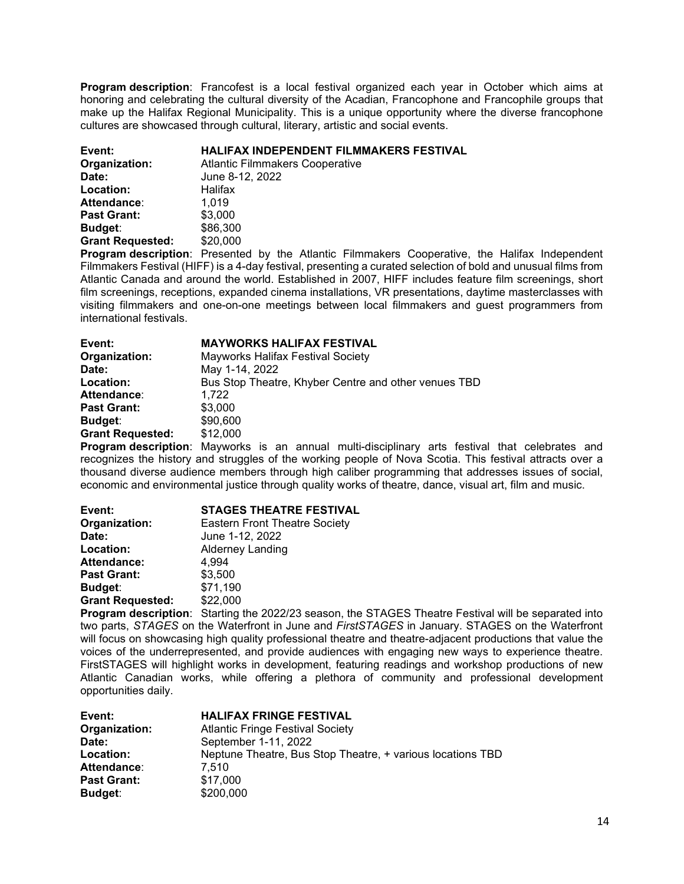**Program description**: Francofest is a local festival organized each year in October which aims at honoring and celebrating the cultural diversity of the Acadian, Francophone and Francophile groups that make up the Halifax Regional Municipality. This is a unique opportunity where the diverse francophone cultures are showcased through cultural, literary, artistic and social events.

| Event:                  | HALIFAX INDEPENDENT FILMMAKERS FESTIVAL |
|-------------------------|-----------------------------------------|
| Organization:           | <b>Atlantic Filmmakers Cooperative</b>  |
| Date:                   | June 8-12, 2022                         |
| Location:               | Halifax                                 |
| Attendance:             | 1.019                                   |
| <b>Past Grant:</b>      | \$3,000                                 |
| Budget:                 | \$86,300                                |
| <b>Grant Requested:</b> | \$20,000                                |

**Program description**: Presented by the Atlantic Filmmakers Cooperative, the Halifax Independent Filmmakers Festival (HIFF) is a 4-day festival, presenting a curated selection of bold and unusual films from Atlantic Canada and around the world. Established in 2007, HIFF includes feature film screenings, short film screenings, receptions, expanded cinema installations, VR presentations, daytime masterclasses with visiting filmmakers and one-on-one meetings between local filmmakers and guest programmers from international festivals.

| Event:                  | <b>MAYWORKS HALIFAX FESTIVAL</b>                     |
|-------------------------|------------------------------------------------------|
| Organization:           | <b>Mayworks Halifax Festival Society</b>             |
| Date:                   | May 1-14, 2022                                       |
| Location:               | Bus Stop Theatre, Khyber Centre and other venues TBD |
| <b>Attendance:</b>      | 1.722                                                |
| <b>Past Grant:</b>      | \$3,000                                              |
| Budget:                 | \$90,600                                             |
| <b>Grant Requested:</b> | \$12,000                                             |

**Program description**: Mayworks is an annual multi-disciplinary arts festival that celebrates and recognizes the history and struggles of the working people of Nova Scotia. This festival attracts over a thousand diverse audience members through high caliber programming that addresses issues of social, economic and environmental justice through quality works of theatre, dance, visual art, film and music.

| Event:                  | <b>STAGES THEATRE FESTIVAL</b>       |
|-------------------------|--------------------------------------|
| Organization:           | <b>Eastern Front Theatre Society</b> |
| Date:                   | June 1-12, 2022                      |
| Location:               | <b>Alderney Landing</b>              |
| <b>Attendance:</b>      | 4.994                                |
| <b>Past Grant:</b>      | \$3,500                              |
| Budget:                 | \$71,190                             |
| <b>Grant Requested:</b> | \$22,000                             |
|                         |                                      |

**Program description**: Starting the 2022/23 season, the STAGES Theatre Festival will be separated into two parts, *STAGES* on the Waterfront in June and *FirstSTAGES* in January. STAGES on the Waterfront will focus on showcasing high quality professional theatre and theatre-adjacent productions that value the voices of the underrepresented, and provide audiences with engaging new ways to experience theatre. FirstSTAGES will highlight works in development, featuring readings and workshop productions of new Atlantic Canadian works, while offering a plethora of community and professional development opportunities daily.

| Event:             | <b>HALIFAX FRINGE FESTIVAL</b>                             |
|--------------------|------------------------------------------------------------|
| Organization:      | <b>Atlantic Fringe Festival Society</b>                    |
| Date:              | September 1-11, 2022                                       |
| Location:          | Neptune Theatre, Bus Stop Theatre, + various locations TBD |
| <b>Attendance:</b> | 7.510                                                      |
| <b>Past Grant:</b> | \$17,000                                                   |
| <b>Budget:</b>     | \$200,000                                                  |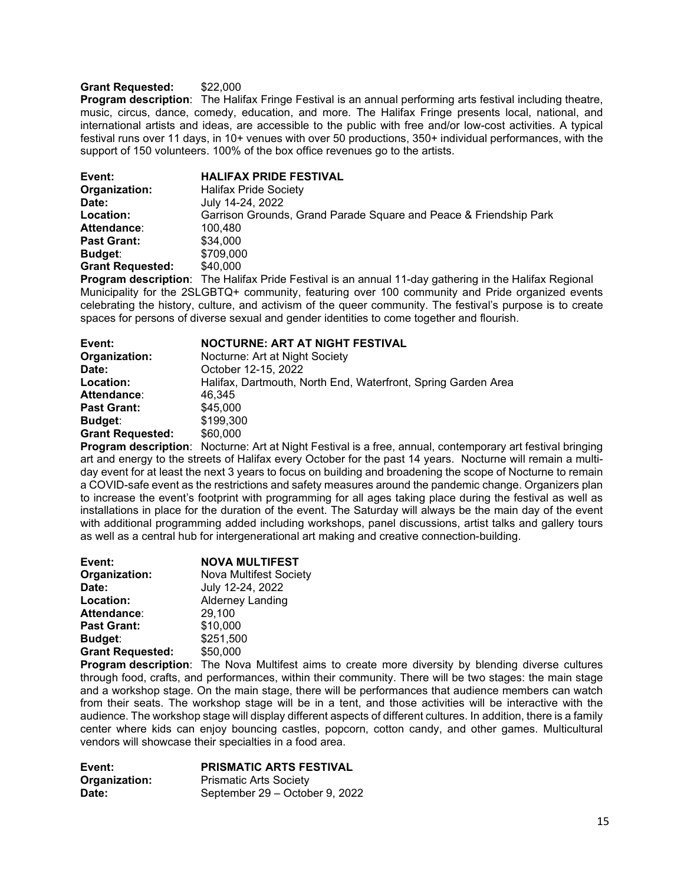## **Grant Requested:** \$22,000

**Program description**: The Halifax Fringe Festival is an annual performing arts festival including theatre, music, circus, dance, comedy, education, and more. The Halifax Fringe presents local, national, and international artists and ideas, are accessible to the public with free and/or low-cost activities. A typical festival runs over 11 days, in 10+ venues with over 50 productions, 350+ individual performances, with the support of 150 volunteers. 100% of the box office revenues go to the artists.

| Event:                  | <b>HALIFAX PRIDE FESTIVAL</b>                                             |
|-------------------------|---------------------------------------------------------------------------|
| Organization:           | <b>Halifax Pride Society</b>                                              |
| Date:                   | July 14-24, 2022                                                          |
| Location:               | Garrison Grounds, Grand Parade Square and Peace & Friendship Park         |
| Attendance:             | 100.480                                                                   |
| <b>Past Grant:</b>      | \$34,000                                                                  |
| <b>Budget:</b>          | \$709,000                                                                 |
| <b>Grant Requested:</b> | \$40,000                                                                  |
| Dragram decerintian:    | The Holifox Dride Feetival is an annual 11 day asthering in the Holifox D |

**Program description**: The Halifax Pride Festival is an annual 11-day gathering in the Halifax Regional Municipality for the 2SLGBTQ+ community, featuring over 100 community and Pride organized events celebrating the history, culture, and activism of the queer community. The festival's purpose is to create spaces for persons of diverse sexual and gender identities to come together and flourish.

| Event:                  | NOCTURNE: ART AT NIGHT FESTIVAL                               |
|-------------------------|---------------------------------------------------------------|
| Organization:           | Nocturne: Art at Night Society                                |
| Date:                   | October 12-15, 2022                                           |
| Location:               | Halifax, Dartmouth, North End, Waterfront, Spring Garden Area |
| Attendance:             | 46.345                                                        |
| <b>Past Grant:</b>      | \$45,000                                                      |
| <b>Budget:</b>          | \$199,300                                                     |
| <b>Grant Requested:</b> | \$60,000                                                      |

**Program description**: Nocturne: Art at Night Festival is a free, annual, contemporary art festival bringing art and energy to the streets of Halifax every October for the past 14 years. Nocturne will remain a multiday event for at least the next 3 years to focus on building and broadening the scope of Nocturne to remain a COVID-safe event as the restrictions and safety measures around the pandemic change. Organizers plan to increase the event's footprint with programming for all ages taking place during the festival as well as installations in place for the duration of the event. The Saturday will always be the main day of the event with additional programming added including workshops, panel discussions, artist talks and gallery tours as well as a central hub for intergenerational art making and creative connection-building.

| Event:                  | <b>NOVA MULTIFEST</b>         |
|-------------------------|-------------------------------|
| Organization:           | <b>Nova Multifest Society</b> |
| Date:                   | July 12-24, 2022              |
| Location:               | <b>Alderney Landing</b>       |
| <b>Attendance:</b>      | 29,100                        |
| <b>Past Grant:</b>      | \$10,000                      |
| <b>Budget:</b>          | \$251,500                     |
| <b>Grant Requested:</b> | \$50,000                      |

**Program description**: The Nova Multifest aims to create more diversity by blending diverse cultures through food, crafts, and performances, within their community. There will be two stages: the main stage and a workshop stage. On the main stage, there will be performances that audience members can watch from their seats. The workshop stage will be in a tent, and those activities will be interactive with the audience. The workshop stage will display different aspects of different cultures. In addition, there is a family center where kids can enjoy bouncing castles, popcorn, cotton candy, and other games. Multicultural vendors will showcase their specialties in a food area.

| Event:        | <b>PRISMATIC ARTS FESTIVAL</b> |
|---------------|--------------------------------|
| Organization: | <b>Prismatic Arts Society</b>  |
| Date:         | September 29 – October 9, 2022 |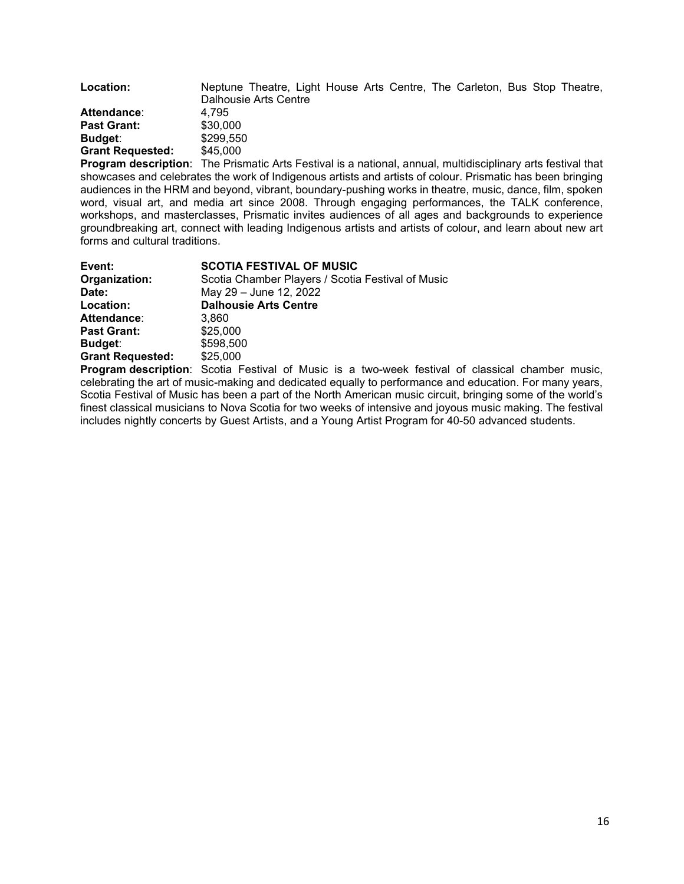| Location:               | Neptune Theatre, Light House Arts Centre, The Carleton, Bus Stop Theatre, |
|-------------------------|---------------------------------------------------------------------------|
|                         | Dalhousie Arts Centre                                                     |
| Attendance:             | 4.795                                                                     |
| <b>Past Grant:</b>      | \$30,000                                                                  |
| Budget:                 | \$299.550                                                                 |
| <b>Grant Requested:</b> | \$45,000                                                                  |

**Program description**: The Prismatic Arts Festival is a national, annual, multidisciplinary arts festival that showcases and celebrates the work of Indigenous artists and artists of colour. Prismatic has been bringing audiences in the HRM and beyond, vibrant, boundary-pushing works in theatre, music, dance, film, spoken word, visual art, and media art since 2008. Through engaging performances, the TALK conference, workshops, and masterclasses, Prismatic invites audiences of all ages and backgrounds to experience groundbreaking art, connect with leading Indigenous artists and artists of colour, and learn about new art forms and cultural traditions.

| Event:                  | <b>SCOTIA FESTIVAL OF MUSIC</b>                                                                                                                                                                                                                                          |
|-------------------------|--------------------------------------------------------------------------------------------------------------------------------------------------------------------------------------------------------------------------------------------------------------------------|
| Organization:           | Scotia Chamber Players / Scotia Festival of Music                                                                                                                                                                                                                        |
| Date:                   | May 29 - June 12, 2022                                                                                                                                                                                                                                                   |
| Location:               | <b>Dalhousie Arts Centre</b>                                                                                                                                                                                                                                             |
| Attendance:             | 3.860                                                                                                                                                                                                                                                                    |
| <b>Past Grant:</b>      | \$25,000                                                                                                                                                                                                                                                                 |
| <b>Budget:</b>          | \$598,500                                                                                                                                                                                                                                                                |
| <b>Grant Requested:</b> | \$25,000                                                                                                                                                                                                                                                                 |
|                         | <b>P</b> roduce and the control of $\alpha$ and $\alpha$ is produced by $\alpha$ in the control of $\alpha$ in the control of $\alpha$ is the control of $\alpha$ is the control of $\alpha$ is the control of $\alpha$ is the control of $\alpha$ is the control of $\$ |

**Program description**: Scotia Festival of Music is a two-week festival of classical chamber music, celebrating the art of music-making and dedicated equally to performance and education. For many years, Scotia Festival of Music has been a part of the North American music circuit, bringing some of the world's finest classical musicians to Nova Scotia for two weeks of intensive and joyous music making. The festival includes nightly concerts by Guest Artists, and a Young Artist Program for 40-50 advanced students.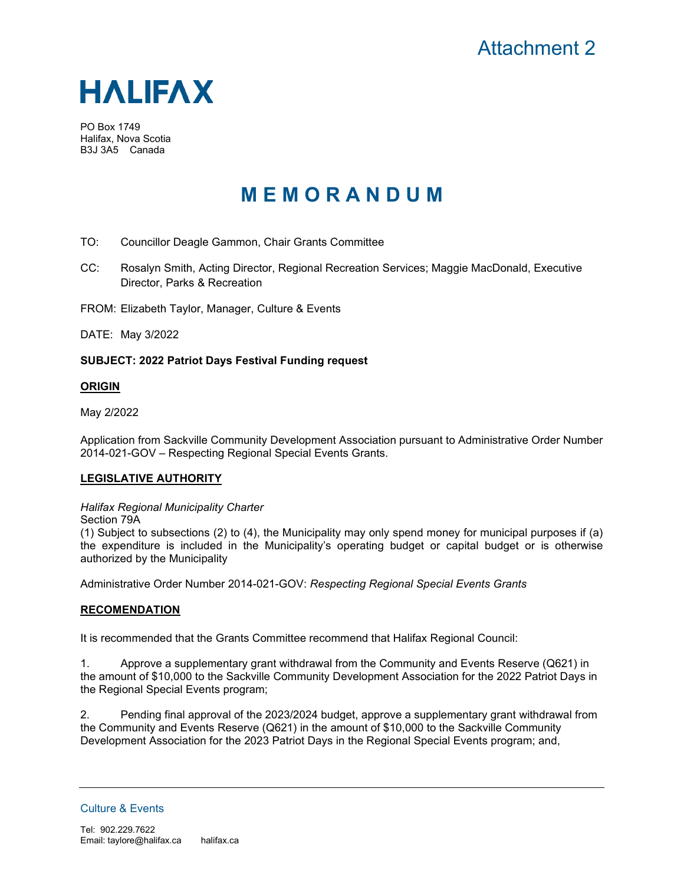

PO Box 1749 Halifax, Nova Scotia B3J 3A5 Canada

# **M E M O R A N D U M**

- TO: Councillor Deagle Gammon, Chair Grants Committee
- CC: Rosalyn Smith, Acting Director, Regional Recreation Services; Maggie MacDonald, Executive Director, Parks & Recreation

FROM: Elizabeth Taylor, Manager, Culture & Events

DATE: May 3/2022

## **SUBJECT: 2022 Patriot Days Festival Funding request**

## **ORIGIN**

May 2/2022

Application from Sackville Community Development Association pursuant to Administrative Order Number 2014-021-GOV – Respecting Regional Special Events Grants.

## **LEGISLATIVE AUTHORITY**

*Halifax Regional Municipality Charter*

(1) Subject to subsections (2) to (4), the Municipality may only spend money for municipal purposes if (a) the expenditure is included in the Municipality's operating budget or capital budget or is otherwise authorized by the Municipality

Administrative Order Number 2014-021-GOV: *Respecting Regional Special Events Grants*

## **RECOMENDATION**

It is recommended that the Grants Committee recommend that Halifax Regional Council:

1. Approve a supplementary grant withdrawal from the Community and Events Reserve (Q621) in the amount of \$10,000 to the Sackville Community Development Association for the 2022 Patriot Days in the Regional Special Events program;

2. Pending final approval of the 2023/2024 budget, approve a supplementary grant withdrawal from the Community and Events Reserve (Q621) in the amount of \$10,000 to the Sackville Community Development Association for the 2023 Patriot Days in the Regional Special Events program; and,

Culture & Events

Section 79A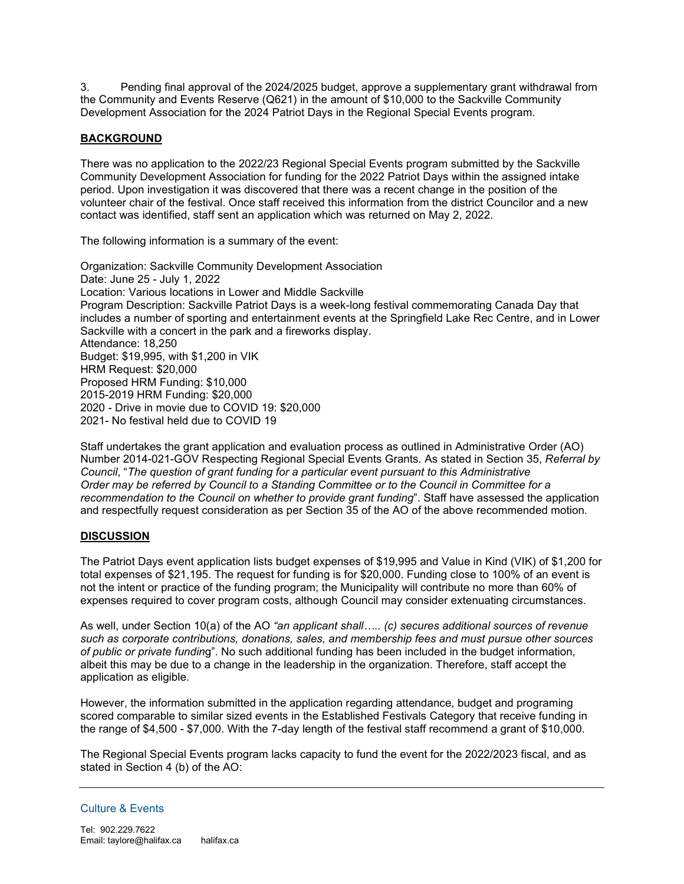3. Pending final approval of the 2024/2025 budget, approve a supplementary grant withdrawal from the Community and Events Reserve (Q621) in the amount of \$10,000 to the Sackville Community Development Association for the 2024 Patriot Days in the Regional Special Events program.

# **BACKGROUND**

There was no application to the 2022/23 Regional Special Events program submitted by the Sackville Community Development Association for funding for the 2022 Patriot Days within the assigned intake period. Upon investigation it was discovered that there was a recent change in the position of the volunteer chair of the festival. Once staff received this information from the district Councilor and a new contact was identified, staff sent an application which was returned on May 2, 2022.

The following information is a summary of the event:

Organization: Sackville Community Development Association Date: June 25 - July 1, 2022 Location: Various locations in Lower and Middle Sackville Program Description: Sackville Patriot Days is a week-long festival commemorating Canada Day that includes a number of sporting and entertainment events at the Springfield Lake Rec Centre, and in Lower Sackville with a concert in the park and a fireworks display. Attendance: 18,250 Budget: \$19,995, with \$1,200 in VIK HRM Request: \$20,000 Proposed HRM Funding: \$10,000 2015-2019 HRM Funding: \$20,000 2020 - Drive in movie due to COVID 19: \$20,000 2021- No festival held due to COVID 19

Staff undertakes the grant application and evaluation process as outlined in Administrative Order (AO) Number 2014-021-GOV Respecting Regional Special Events Grants. As stated in Section 35, *Referral by Council*, "*The question of grant funding for a particular event pursuant to this Administrative Order may be referred by Council to a Standing Committee or to the Council in Committee for a recommendation to the Council on whether to provide grant funding*". Staff have assessed the application and respectfully request consideration as per Section 35 of the AO of the above recommended motion.

## **DISCUSSION**

The Patriot Days event application lists budget expenses of \$19,995 and Value in Kind (VIK) of \$1,200 for total expenses of \$21,195. The request for funding is for \$20,000. Funding close to 100% of an event is not the intent or practice of the funding program; the Municipality will contribute no more than 60% of expenses required to cover program costs, although Council may consider extenuating circumstances.

As well, under Section 10(a) of the AO *"an applicant shall….. (c) secures additional sources of revenue such as corporate contributions, donations, sales, and membership fees and must pursue other sources of public or private fundin*g". No such additional funding has been included in the budget information, albeit this may be due to a change in the leadership in the organization. Therefore, staff accept the application as eligible.

However, the information submitted in the application regarding attendance, budget and programing scored comparable to similar sized events in the Established Festivals Category that receive funding in the range of \$4,500 - \$7,000. With the 7-day length of the festival staff recommend a grant of \$10,000.

The Regional Special Events program lacks capacity to fund the event for the 2022/2023 fiscal, and as stated in Section 4 (b) of the AO:

#### Culture & Events